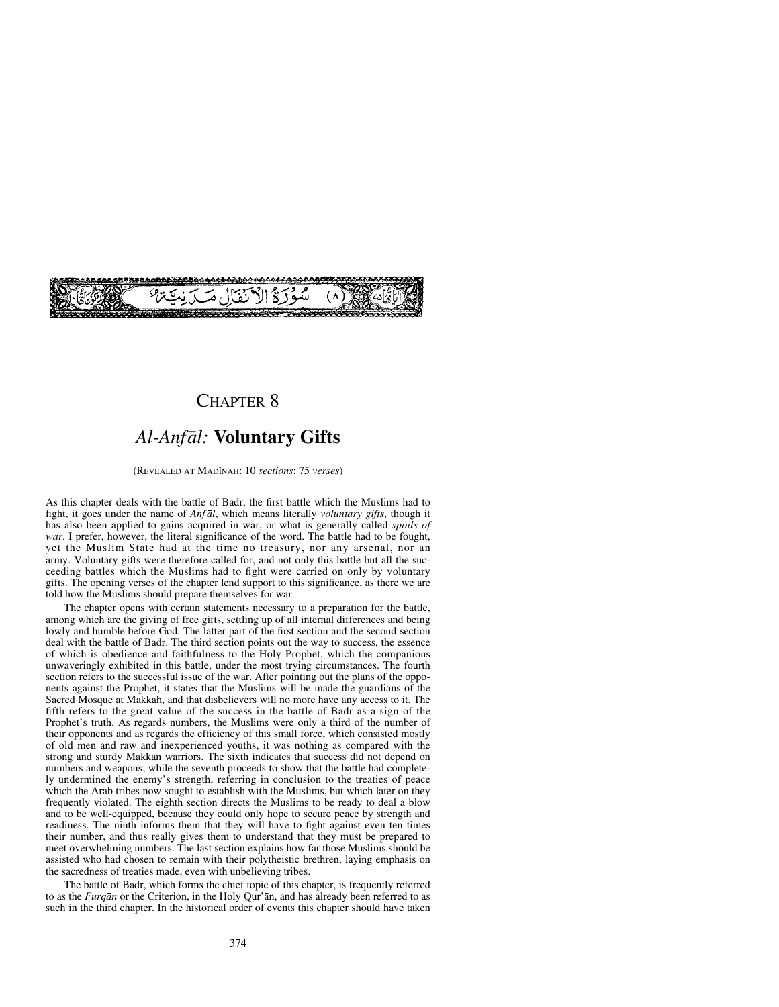

## CHAPTER 8

# *Al-Anfål:* **Voluntary Gifts**

(REVEALED AT MADÍNAH: 10 *sections*; 75 *verses*)

As this chapter deals with the battle of Badr, the first battle which the Muslims had to fight, it goes under the name of *Anf ål*, which means literally *voluntary gifts*, though it has also been applied to gains acquired in war, or what is generally called *spoils of war*. I prefer, however, the literal significance of the word. The battle had to be fought, yet the Muslim State had at the time no treasury, nor any arsenal, nor an army. Voluntary gifts were therefore called for, and not only this battle but all the succeeding battles which the Muslims had to fight were carried on only by voluntary gifts. The opening verses of the chapter lend support to this significance, as there we are told how the Muslims should prepare themselves for war.

The chapter opens with certain statements necessary to a preparation for the battle, among which are the giving of free gifts, settling up of all internal differences and being lowly and humble before God. The latter part of the first section and the second section deal with the battle of Badr. The third section points out the way to success, the essence of which is obedience and faithfulness to the Holy Prophet, which the companions unwaveringly exhibited in this battle, under the most trying circumstances. The fourth section refers to the successful issue of the war. After pointing out the plans of the opponents against the Prophet, it states that the Muslims will be made the guardians of the Sacred Mosque at Makkah, and that disbelievers will no more have any access to it. The fifth refers to the great value of the success in the battle of Badr as a sign of the Prophet's truth. As regards numbers, the Muslims were only a third of the number of their opponents and as regards the efficiency of this small force, which consisted mostly of old men and raw and inexperienced youths, it was nothing as compared with the strong and sturdy Makkan warriors. The sixth indicates that success did not depend on numbers and weapons; while the seventh proceeds to show that the battle had completely undermined the enemy's strength, referring in conclusion to the treaties of peace which the Arab tribes now sought to establish with the Muslims, but which later on they frequently violated. The eighth section directs the Muslims to be ready to deal a blow and to be well-equipped, because they could only hope to secure peace by strength and readiness. The ninth informs them that they will have to fight against even ten times their number, and thus really gives them to understand that they must be prepared to meet overwhelming numbers. The last section explains how far those Muslims should be assisted who had chosen to remain with their polytheistic brethren, laying emphasis on the sacredness of treaties made, even with unbelieving tribes.

The battle of Badr, which forms the chief topic of this chapter, is frequently referred to as the *Furqån* or the Criterion, in the Holy Qur'ån, and has already been referred to as such in the third chapter. In the historical order of events this chapter should have taken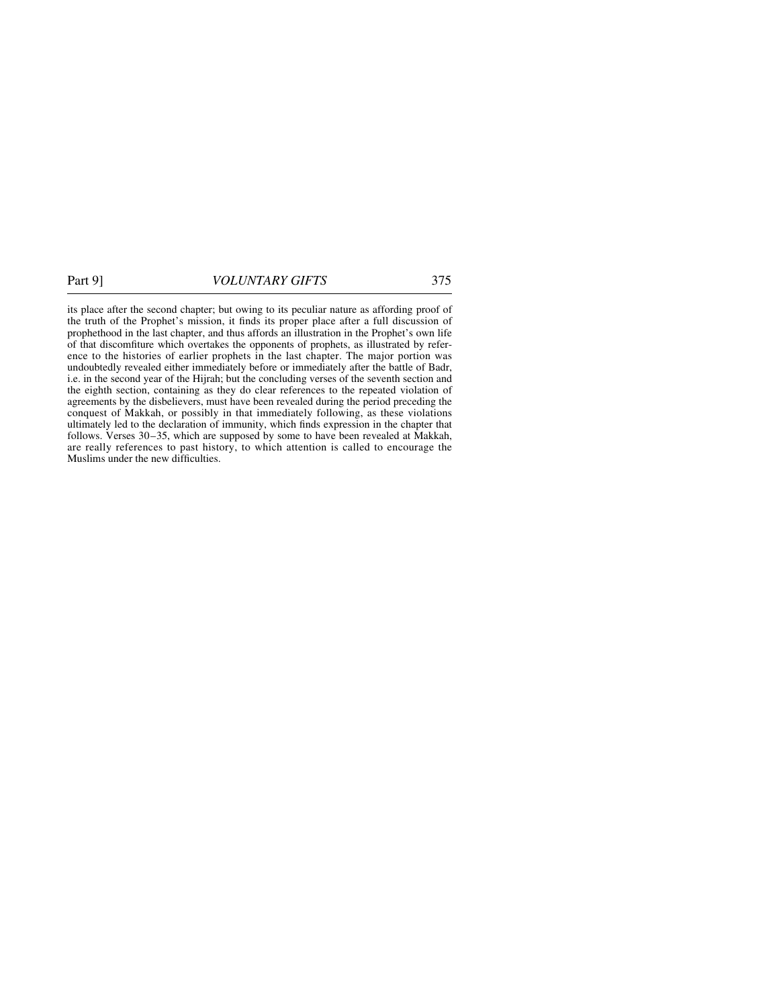its place after the second chapter; but owing to its peculiar nature as affording proof of the truth of the Prophet's mission, it finds its proper place after a full discussion of prophethood in the last chapter, and thus affords an illustration in the Prophet's own life of that discomfiture which overtakes the opponents of prophets, as illustrated by reference to the histories of earlier prophets in the last chapter. The major portion was undoubtedly revealed either immediately before or immediately after the battle of Badr, i.e. in the second year of the Hijrah; but the concluding verses of the seventh section and the eighth section, containing as they do clear references to the repeated violation of agreements by the disbelievers, must have been revealed during the period preceding the conquest of Makkah, or possibly in that immediately following, as these violations ultimately led to the declaration of immunity, which finds expression in the chapter that follows. Verses 30–35, which are supposed by some to have been revealed at Makkah, are really references to past history, to which attention is called to encourage the Muslims under the new difficulties.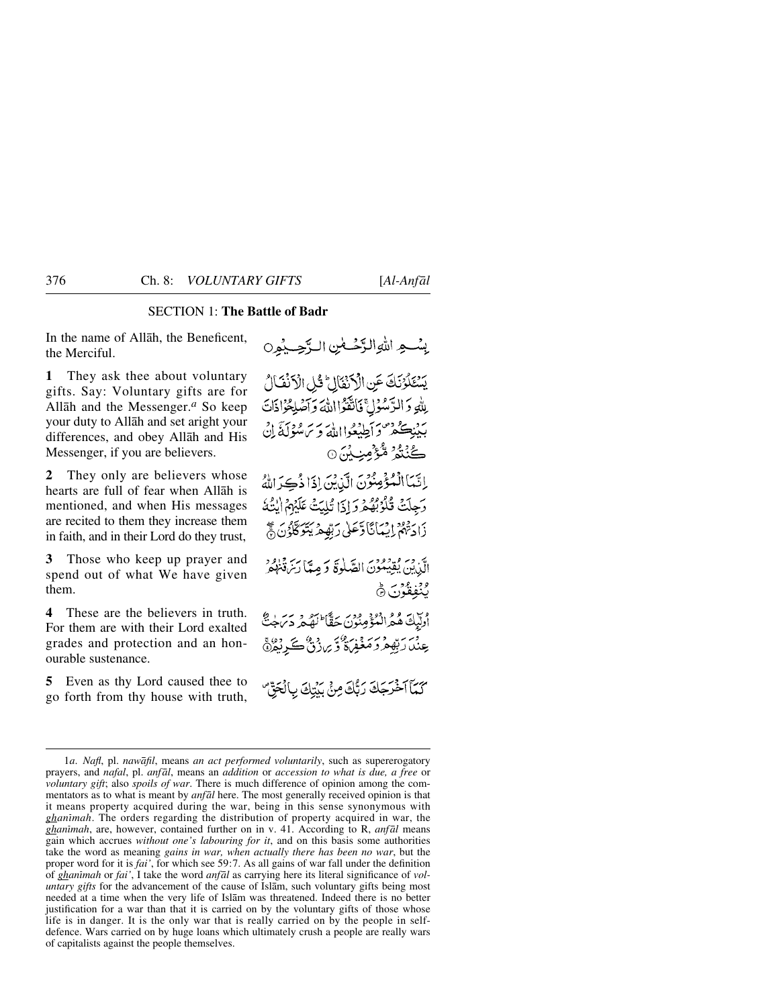## SECTION 1: **The Battle of Badr**

In the name of Allåh, the Beneficent, the Merciful.

**1** They ask thee about voluntary gifts. Say: Voluntary gifts are for Allåh and the Messenger.*<sup>a</sup>* So keep your duty to Allåh and set aright your differences, and obey Allåh and His Messenger, if you are believers.

**2** They only are believers whose hearts are full of fear when Allåh is mentioned, and when His messages are recited to them they increase them in faith, and in their Lord do they trust,

**3** Those who keep up prayer and spend out of what We have given them.

**4** These are the believers in truth. For them are with their Lord exalted grades and protection and an honourable sustenance.

**5** Even as thy Lord caused thee to go forth from thy house with truth,

بِسْعِ اللَّهِ الزَّحْكَمِٰنِ الرَّحِيْمِينَ يَسْتَلَوْنَكَ عَنِ الْأَنْفَالِ ۚ ذَٰلِ الْأَنْفَالُ بِلَّهِ وَالرَّسُولِ ۚ فَاتَّقَوْااللَّهَ وَآصَلِهُوَاذَاتَ بَدْنِكُمْ وَأَطِيْعُوااللَّهُ وَيَرْسُوْلَةً إِنَّ گُنْتُمُ مُّؤْمِنِيْنَ0 إِنَّمَا الْمُؤْمِنُونَ الَّذِينَ إِذَا ذُكِرَ اللَّهُ وَجِلَتْ قُلُوْبُهُمْ وَإِذَا تُلِيَتْ عَلَيْهِمُ إِيْتُهُ زَادَتْهُمْ إِيْمَانَاًوَّعَلَىٰ رَبِّهُمْ يَتَوَكَّلُوْنَ ﴾َ الَّذِينَ يُقِيَمُونَ الصَّلَوٰةَ وَمِيًّا رَبِّ يُنْفُرُهُ وو. ووبر ه<br>پنغفون (ش أُولَيْكَ هُمُ الْمُؤْمِنُونَ حَقَّا لَهُمْ دَىٰ جِنَّ عِنْدَارَتِهِمْ دَمَغْفِيءٌ وَبِرِزْنٌ كَرِيْدٌ هَ

كَمَآ آخْرَجَكَ رَبُّكَ مِنْ يَدْتِكَ بِالْجَقِّ

<sup>1</sup>*a*. *Nafl*, pl. *nawåfil*, means *an act performed voluntarily*, such as supererogatory prayers, and *nafal*, pl. *anfål*, means an *addition* or *accession to what is due, a free* or *voluntary gift*; also *spoils of war*. There is much difference of opinion among the commentators as to what is meant by *anfål* here. The most generally received opinion is that it means property acquired during the war, being in this sense synonymous with *ghanßmah*. The orders regarding the distribution of property acquired in war, the *ghanßmah*, are, however, contained further on in v. 41. According to R, *anfål* means gain which accrues *without one's labouring for it*, and on this basis some authorities take the word as meaning *gains in war, when actually there has been no war*, but the proper word for it is *fai'*, for which see 59:7. As all gains of war fall under the definition of *ghanßmah* or *fai'*, I take the word *anfål* as carrying here its literal significance of *voluntary gifts* for the advancement of the cause of Islåm, such voluntary gifts being most needed at a time when the very life of Islåm was threatened. Indeed there is no better justification for a war than that it is carried on by the voluntary gifts of those whose life is in danger. It is the only war that is really carried on by the people in selfdefence. Wars carried on by huge loans which ultimately crush a people are really wars of capitalists against the people themselves.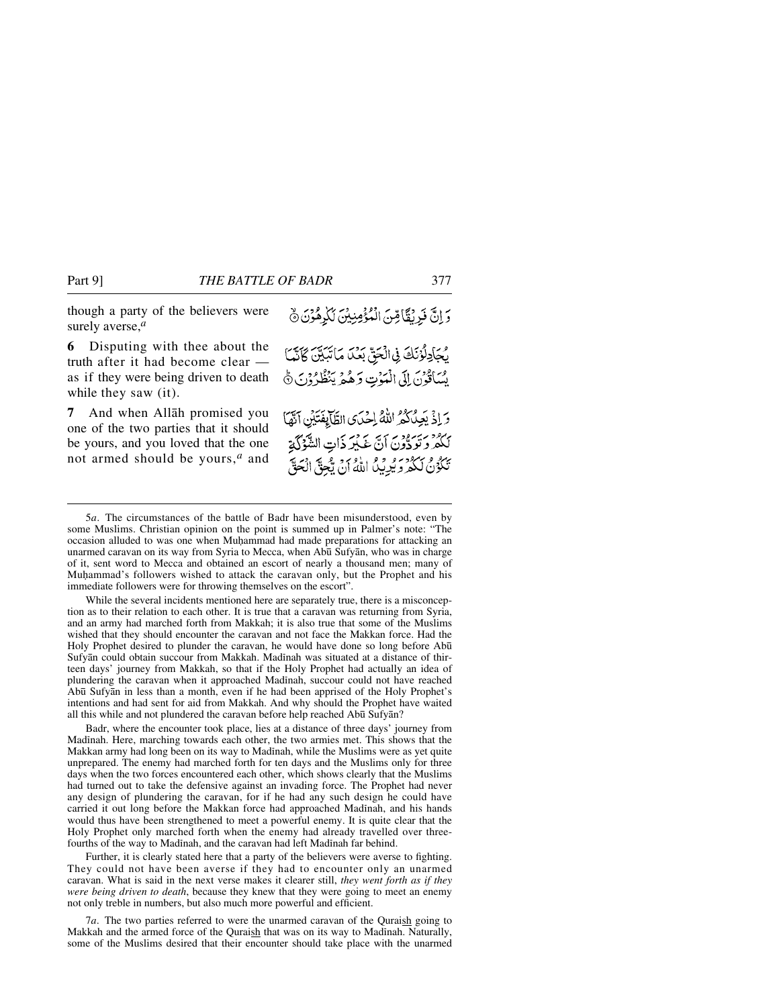though a party of the believers were surely averse,*<sup>a</sup>*

**6** Disputing with thee about the truth after it had become clear as if they were being driven to death while they saw (it).

**7** And when Allåh promised you one of the two parties that it should be yours, and you loved that the one not armed should be yours,*<sup>a</sup>* and

وَ إِنَّ فَرِيْقًا مِّنَ الْمُؤْمِنِيْنَ لَكَٰرِهُوْنَ ﴾ يْجَادِلُوْنَكَ فِى الْحَقِّ بَعْدَا مَاتَبَيَّنَ كَانَّمَا يْسَاقُونَ إِلَى الْمَوْتِ وَهُمْ يَنْظُرُوْنَ ﴾ وَإِذْ يَعِدُكُمُ اللَّهُ إِحْدَى الطَّآيِفَتَيْنِ آتَهَا بِهُ مَنْ مُدِينٍ مِنْ اللَّهِ عَلَيْهِ ذَاتِ الشَّوْلَ وَ تَكْوُنُ لَكُمْرِ وَيُدِيِّدُ اللَّهُ أَنْ يَجْنَّ الْحَقَّ

5*a*. The circumstances of the battle of Badr have been misunderstood, even by some Muslims. Christian opinion on the point is summed up in Palmer's note: "The occasion alluded to was one when Muhammad had made preparations for attacking an unarmed caravan on its way from Syria to Mecca, when Abū Sufyān, who was in charge of it, sent word to Mecca and obtained an escort of nearly a thousand men; many of Muhammad's followers wished to attack the caravan only, but the Prophet and his immediate followers were for throwing themselves on the escort".

While the several incidents mentioned here are separately true, there is a misconception as to their relation to each other. It is true that a caravan was returning from Syria, and an army had marched forth from Makkah; it is also true that some of the Muslims wished that they should encounter the caravan and not face the Makkan force. Had the Holy Prophet desired to plunder the caravan, he would have done so long before Abū Sufyan could obtain succour from Makkah. Madinah was situated at a distance of thirteen days' journey from Makkah, so that if the Holy Prophet had actually an idea of plundering the caravan when it approached Madinah, succour could not have reached Ab∂ Sufyån in less than a month, even if he had been apprised of the Holy Prophet's intentions and had sent for aid from Makkah. And why should the Prophet have waited all this while and not plundered the caravan before help reached Abū Sufyan?

Badr, where the encounter took place, lies at a distance of three days' journey from Madinah. Here, marching towards each other, the two armies met. This shows that the Makkan army had long been on its way to Madinah, while the Muslims were as yet quite unprepared. The enemy had marched forth for ten days and the Muslims only for three days when the two forces encountered each other, which shows clearly that the Muslims had turned out to take the defensive against an invading force. The Prophet had never any design of plundering the caravan, for if he had any such design he could have carried it out long before the Makkan force had approached Madinah, and his hands would thus have been strengthened to meet a powerful enemy. It is quite clear that the Holy Prophet only marched forth when the enemy had already travelled over threefourths of the way to Madinah, and the caravan had left Madinah far behind.

Further, it is clearly stated here that a party of the believers were averse to fighting. They could not have been averse if they had to encounter only an unarmed caravan. What is said in the next verse makes it clearer still, *they went forth as if they were being driven to death*, because they knew that they were going to meet an enemy not only treble in numbers, but also much more powerful and efficient.

7*a*. The two parties referred to were the unarmed caravan of the Quraish going to Makkah and the armed force of the Quraish that was on its way to Madinah. Naturally, some of the Muslims desired that their encounter should take place with the unarmed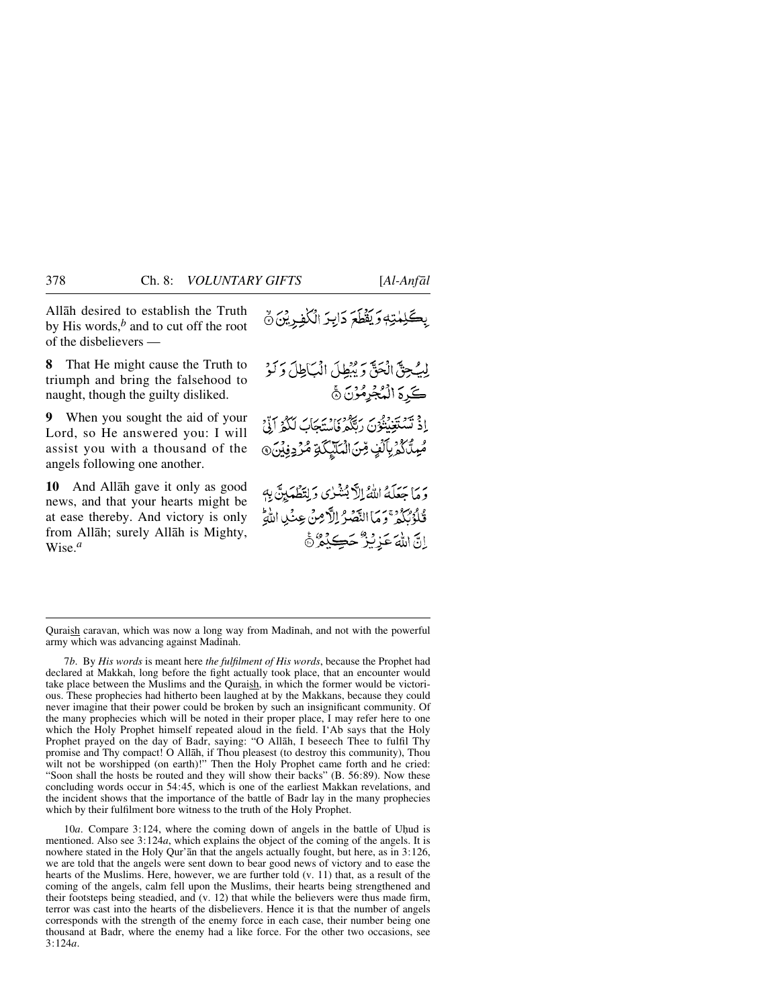Allåh desired to establish the Truth by His words,*<sup>b</sup>* and to cut off the root of the disbelievers —

**8** That He might cause the Truth to triumph and bring the falsehood to naught, though the guilty disliked.

**9** When you sought the aid of your Lord, so He answered you: I will assist you with a thousand of the angels following one another.

**10** And Allåh gave it only as good news, and that your hearts might be at ease thereby. And victory is only from Allåh; surely Allåh is Mighty, Wise.*<sup>a</sup>*

بِكَلِمْتِهِ وَيَقْطَعَ دَابِرَ الْكُفِرِيْنَ ﴾

لِيُجِنَّ الْحَقَّ وَيُبْطِلَ الْبَاطِلَ وَلَوْ كَرِدَ الْمُجْرِمُوْنَ ﴾ ا دېمونه د د سر د ده د .<br>اد تستغینون رتگه فاستهک لکه اوّ مُبِدَّكَمُ بِٱلَّٰفٍ مِّنَ الْمَلَّيْكَةِ مُّرْدِفِيْنَ ۞

وَ مَا حِعَلَهُ اللَّهُ إِلَّا بُشْرُى وَ لِتَطْهَيْنَ بِهِ فَلَوْلَكُهُ تَوَمَا النَّصَرُ إِلاَّ مِنْ عِنْدِا اللَّهُ اِنَّ اللَّهَ عَزِيْزٌ حَكِيْثٌ

7*b*. By *His words* is meant here *the fulfilment of His words*, because the Prophet had declared at Makkah, long before the fight actually took place, that an encounter would take place between the Muslims and the Quraish, in which the former would be victorious. These prophecies had hitherto been laughed at by the Makkans, because they could never imagine that their power could be broken by such an insignificant community. Of the many prophecies which will be noted in their proper place, I may refer here to one which the Holy Prophet himself repeated aloud in the field. I'Ab says that the Holy Prophet prayed on the day of Badr, saying: "O Allåh, I beseech Thee to fulfil Thy promise and Thy compact! O Allåh, if Thou pleasest (to destroy this community), Thou wilt not be worshipped (on earth)!" Then the Holy Prophet came forth and he cried: "Soon shall the hosts be routed and they will show their backs" (B. 56:89). Now these concluding words occur in 54:45, which is one of the earliest Makkan revelations, and the incident shows that the importance of the battle of Badr lay in the many prophecies which by their fulfilment bore witness to the truth of the Holy Prophet.

10*a*. Compare 3:124, where the coming down of angels in the battle of Uhud is mentioned. Also see 3:124*a*, which explains the object of the coming of the angels. It is nowhere stated in the Holy Qur'ån that the angels actually fought, but here, as in 3:126, we are told that the angels were sent down to bear good news of victory and to ease the hearts of the Muslims. Here, however, we are further told (v. 11) that, as a result of the coming of the angels, calm fell upon the Muslims, their hearts being strengthened and their footsteps being steadied, and (v. 12) that while the believers were thus made firm, terror was cast into the hearts of the disbelievers. Hence it is that the number of angels corresponds with the strength of the enemy force in each case, their number being one thousand at Badr, where the enemy had a like force. For the other two occasions, see 3:124*a*.

Quraish caravan, which was now a long way from Madinah, and not with the powerful army which was advancing against Madinah.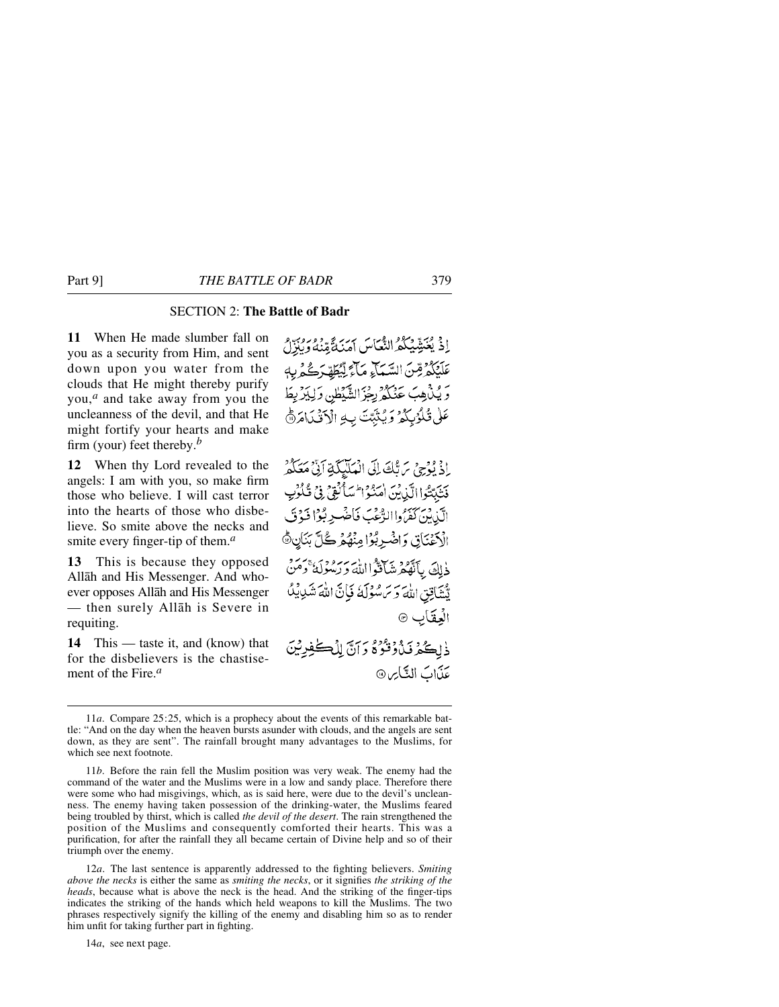## SECTION 2: **The Battle of Badr**

**11** When He made slumber fall on you as a security from Him, and sent down upon you water from the clouds that He might thereby purify you,*<sup>a</sup>* and take away from you the uncleanness of the devil, and that He might fortify your hearts and make firm (your) feet thereby.*<sup>b</sup>*

**12** When thy Lord revealed to the angels: I am with you, so make firm those who believe. I will cast terror into the hearts of those who disbelieve. So smite above the necks and smite every finger-tip of them.*<sup>a</sup>*

**13** This is because they opposed Allåh and His Messenger. And whoever opposes Allåh and His Messenger — then surely Allåh is Severe in requiting.

**14** This — taste it, and (know) that for the disbelievers is the chastisement of the Fire.*<sup>a</sup>*

إِذْ يُعَنِّدِيْكُمُّ النُّعَاسَ أَمَنَةً مِّنْهُ وَبِرُبُّهُ و عَلَيْكُمْ قِنّ السَّمَاءِ مَآءٌ لِّيُطَهِّرَكُمْ بِهِ وَيُنْهِبَ عَنْكُمْ بِجْزَالشَّيْطُنِ وَلِيَزْبِطَ عَلَى تُكْوُبِكُمْ وَيُثَبِّتَ بِهِ الْآَقُيَامَ @

إِذْ يُؤْجِيِّ مَنْ تَكَ إِلَى الْمَلَيْكَةِ أَنَّىْ مَعَكُمْ فَتَبْتُواالَّدْنِينَ اٰ مَدْوَا ۖ سَأَنْفِيٍّ فِي فُكُونِ الَّذِينَ كَفَرُّ واالرُّعْبَ فَاضْبِرِ بُوْا فَوْتَ الْكِفْنَاتِي وَاضْرِبُوْا مِنْهُمْ كُلِّ بَنَانِ ﴾ ذْلِكَ بِٱنْقُمْ شَاقَوًّا اللَّهَ وَرَسُولَهُ وَمَنْ تَّسْتَأْتِقِ اللَّهَ وَسَ سُوْلَهُ فَبَانَّ اللَّهَ شَدِيبُكُ الْعِقَابِ ۞

ذْلِكُمْ فَذْدُوْدٌ وَآنَّ لِلْكَلِّفِيشِ عذابَ النَّاسِ®

12*a*. The last sentence is apparently addressed to the fighting believers. *Smiting above the necks* is either the same as *smiting the necks*, or it signifies *the striking of the heads*, because what is above the neck is the head. And the striking of the finger-tips indicates the striking of the hands which held weapons to kill the Muslims. The two phrases respectively signify the killing of the enemy and disabling him so as to render him unfit for taking further part in fighting.

14*a*, see next page.

<sup>11</sup>*a*. Compare 25:25, which is a prophecy about the events of this remarkable battle: "And on the day when the heaven bursts asunder with clouds, and the angels are sent down, as they are sent". The rainfall brought many advantages to the Muslims, for which see next footnote.

<sup>11</sup>*b*. Before the rain fell the Muslim position was very weak. The enemy had the command of the water and the Muslims were in a low and sandy place. Therefore there were some who had misgivings, which, as is said here, were due to the devil's uncleanness. The enemy having taken possession of the drinking-water, the Muslims feared being troubled by thirst, which is called *the devil of the desert*. The rain strengthened the position of the Muslims and consequently comforted their hearts. This was a purification, for after the rainfall they all became certain of Divine help and so of their triumph over the enemy.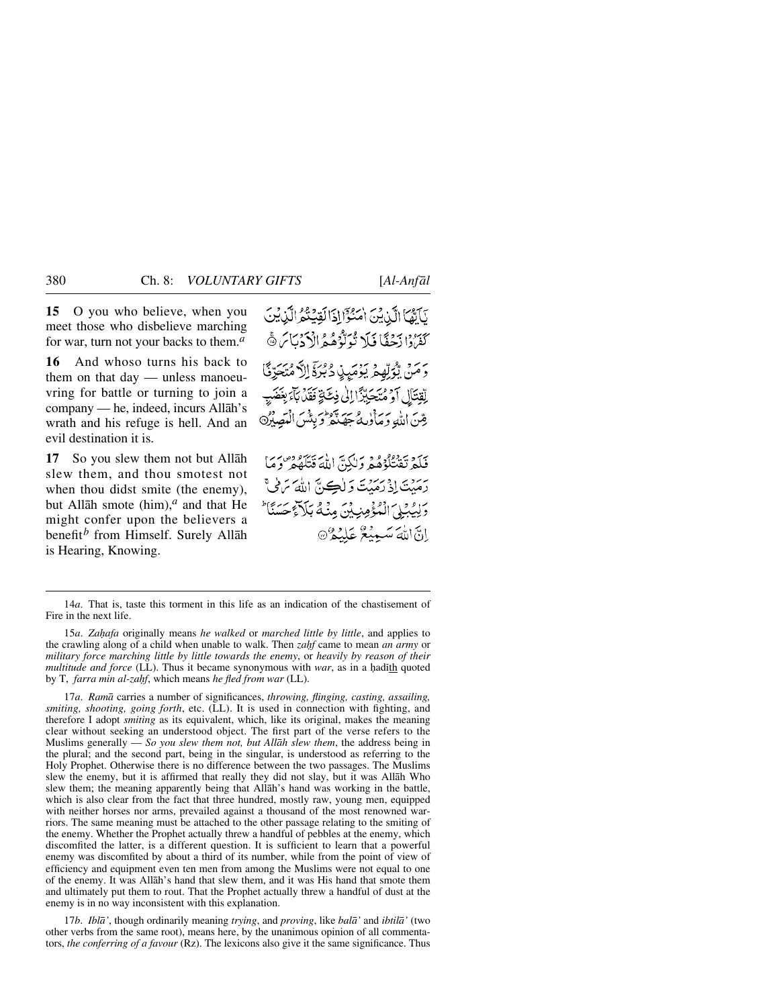**15** O you who believe, when you meet those who disbelieve marching for war, turn not your backs to them.*<sup>a</sup>*

**16** And whoso turns his back to them on that day — unless manoeuvring for battle or turning to join a company — he, indeed, incurs Allåh's wrath and his refuge is hell. And an evil destination it is.

**17** So you slew them not but Allåh slew them, and thou smotest not when thou didst smite (the enemy), but Allåh smote (him),*<sup>a</sup>* and that He might confer upon the believers a benefit*<sup>b</sup>* from Himself. Surely Allåh is Hearing, Knowing.

يَآتَيْمَا الَّذِيْنَ اٰ مَنْوَاْ إِذَالَقِيَنِيُّمُ الَّذِيْنَ كَفَرُدًا زَحْقًا فَلَا نُوَلُّوُهُمُ الْأَدَيَاسَ ۞ دَ مَنْ يُؤَلِّهِمْ يَؤْمَيِنِ دُبُرَةَ إِلاَّ مُتَعَرِّفًا لِقِتَالِ أَوْ مُتَحَبِّزًا إِلَىٰ فِكَةٍ فَقَدْ بِآءٌ بِغَضَبِ رِّينَ اللَّهِ وَمَأْوٰلِهُ جَهَيْتُهُ وَبِئْسَ الْمَصِيْرُ@

نِيَدَةٍ مَنْ يَدْهُمُ وَلَكُنَّ اللَّهَ قَتَلَهُمْ ۚ وَمَا رَ رَبِّينَ إِذْ رَمَيْتَ وَ لُڪِنَّ اللَّهَ تَرَمِّي وَلِيُبِلِيَ الْمُؤْمِنِيِّنَ مِنْهُ بَلَاَءٌ حَسَنًا ۖ إِنَّ اللَّهَ سَبِيبُعٌ عَلَيْهُمْ ﴾

14*a*. That is, taste this torment in this life as an indication of the chastisement of Fire in the next life.

15*a*. *Zahafa* originally means *he walked* or *marched little by little*, and applies to the crawling along of a child when unable to walk. Then *zahf* came to mean *an army* or *military force marching little by little towards the enemy*, or *heavily by reason of their multitude and force* (LL). Thus it became synonymous with *war*, as in a hadith quoted by T, *farra min al-zahf*, which means *he fled from war* (LL).

17*a*. *Ramå* carries a number of significances, *throwing, flinging, casting, assailing, smiting, shooting, going forth*, etc. (LL). It is used in connection with fighting, and therefore I adopt *smiting* as its equivalent, which, like its original, makes the meaning clear without seeking an understood object. The first part of the verse refers to the Muslims generally — *So you slew them not, but Allåh slew them*, the address being in the plural; and the second part, being in the singular, is understood as referring to the Holy Prophet. Otherwise there is no difference between the two passages. The Muslims slew the enemy, but it is affirmed that really they did not slay, but it was Allåh Who slew them; the meaning apparently being that Allåh's hand was working in the battle, which is also clear from the fact that three hundred, mostly raw, young men, equipped with neither horses nor arms, prevailed against a thousand of the most renowned warriors. The same meaning must be attached to the other passage relating to the smiting of the enemy. Whether the Prophet actually threw a handful of pebbles at the enemy, which discomfited the latter, is a different question. It is sufficient to learn that a powerful enemy was discomfited by about a third of its number, while from the point of view of efficiency and equipment even ten men from among the Muslims were not equal to one of the enemy. It was Allåh's hand that slew them, and it was His hand that smote them and ultimately put them to rout. That the Prophet actually threw a handful of dust at the enemy is in no way inconsistent with this explanation.

17*b*. *Iblå'*, though ordinarily meaning *trying*, and *proving*, like *balå'* and *ibtilå'* (two other verbs from the same root), means here, by the unanimous opinion of all commentators, *the conferring of a favour* (Rz). The lexicons also give it the same significance. Thus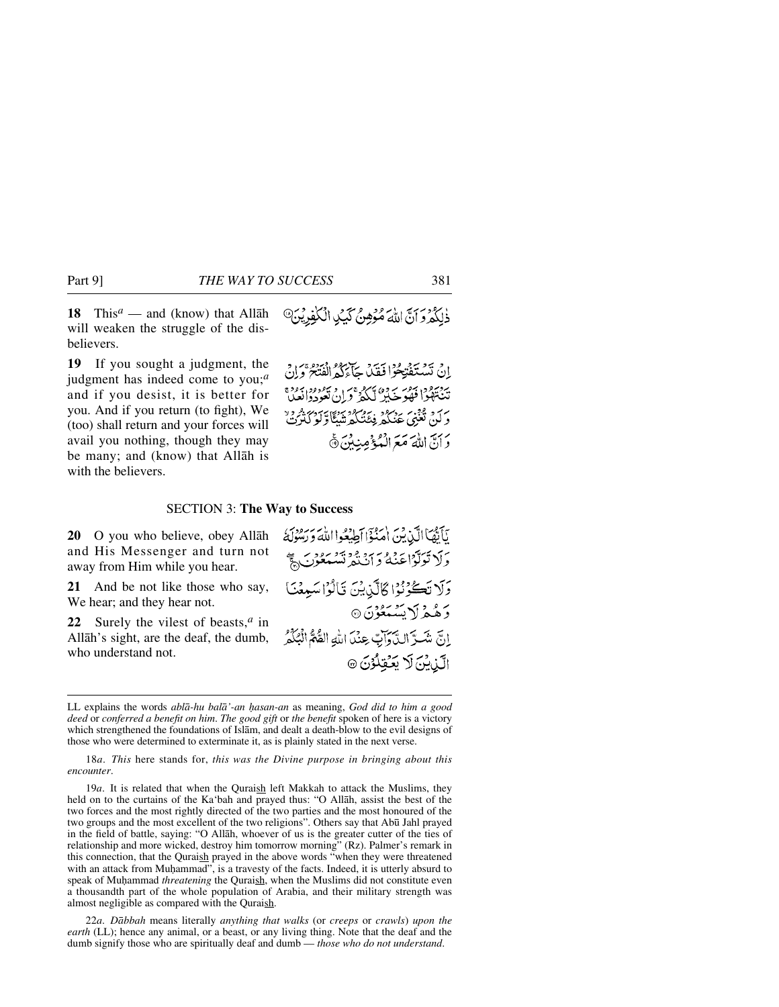**18** This*<sup>a</sup>* — and (know) that Allåh will weaken the struggle of the disbelievers.

**19** If you sought a judgment, the judgment has indeed come to you;*<sup>a</sup>* and if you desist, it is better for you. And if you return (to fight), We (too) shall return and your forces will avail you nothing, though they may be many; and (know) that Allåh is with the believers.

# ذٰلِكُمْ وَأَنَّ اللَّهَ مُؤْهِنٌ كَيْدٍ الْكَفِرِيْنَ ﴾

إِنْ تَسْتَفْتِحُوْا فَقَدْ جَاءَكُمُ الْفَتَحْ وَإِنْ به دسود اندو به دور سرد به دور به دوه<br>تنه توافقه خبیر لکه قران تعودوالعبا ىر 7. قۇن بەير دېرەد نەر ئەنگەرتىدى.<br>دېلىق تغنى غىنگە فېئىنگەرتىنگارلوڭترت بَرَبَيَ اللَّهَ مَعَرَالَهُ بِمَعْلِيهِ مِنْكِنَ ۞

#### SECTION 3: **The Way to Success**

**20** O you who believe, obey Allåh and His Messenger and turn not away from Him while you hear.

**21** And be not like those who say, We hear; and they hear not.

**22** Surely the vilest of beasts,*<sup>a</sup>* in Allåh's sight, are the deaf, the dumb, who understand not.

يَأَيُّهَا الَّذِينَ امْنُؤَا أَطِيعُوا اللهَ رَسُودَ وَلَا تَوَلَّوْاعَنْهُ وَ آنْنُهُ تَسْتَعُوْنَ لَجَّ وَلَا تَكُوْنُوْا ݣَالَّذِينَ قَالُوْا سَبِعْنَا وَهُمْ لَا يَسْمَعُوْنَ ۞ إِنَّ شَــرَّ الدَّرَاتِ عِنْدَ اللَّهِ القُّمُّ الْبُكْمُ الَّذِيْنَ لَا يَكْفِلُوْنَ ۞

18*a*. *This* here stands for, *this was the Divine purpose in bringing about this encounter*.

19*a*. It is related that when the Quraish left Makkah to attack the Muslims, they held on to the curtains of the Ka'bah and prayed thus: "O Allåh, assist the best of the two forces and the most rightly directed of the two parties and the most honoured of the two groups and the most excellent of the two religions". Others say that Abū Jahl prayed in the field of battle, saying: "O Allåh, whoever of us is the greater cutter of the ties of relationship and more wicked, destroy him tomorrow morning" (Rz). Palmer's remark in this connection, that the Quraish prayed in the above words "when they were threatened with an attack from Muhammad", is a travesty of the facts. Indeed, it is utterly absurd to speak of Muhammad *threatening* the Quraish, when the Muslims did not constitute even a thousandth part of the whole population of Arabia, and their military strength was almost negligible as compared with the Quraish.

22*a*. *Dåbbah* means literally *anything that walks* (or *creeps* or *crawls*) *upon the earth* (LL); hence any animal, or a beast, or any living thing. Note that the deaf and the dumb signify those who are spiritually deaf and dumb — *those who do not understand*.

LL explains the words *ablå-hu balå'-an √asan-an* as meaning, *God did to him a good deed* or *conferred a benefit on him*. *The good gift* or *the benefit* spoken of here is a victory which strengthened the foundations of Islåm, and dealt a death-blow to the evil designs of those who were determined to exterminate it, as is plainly stated in the next verse.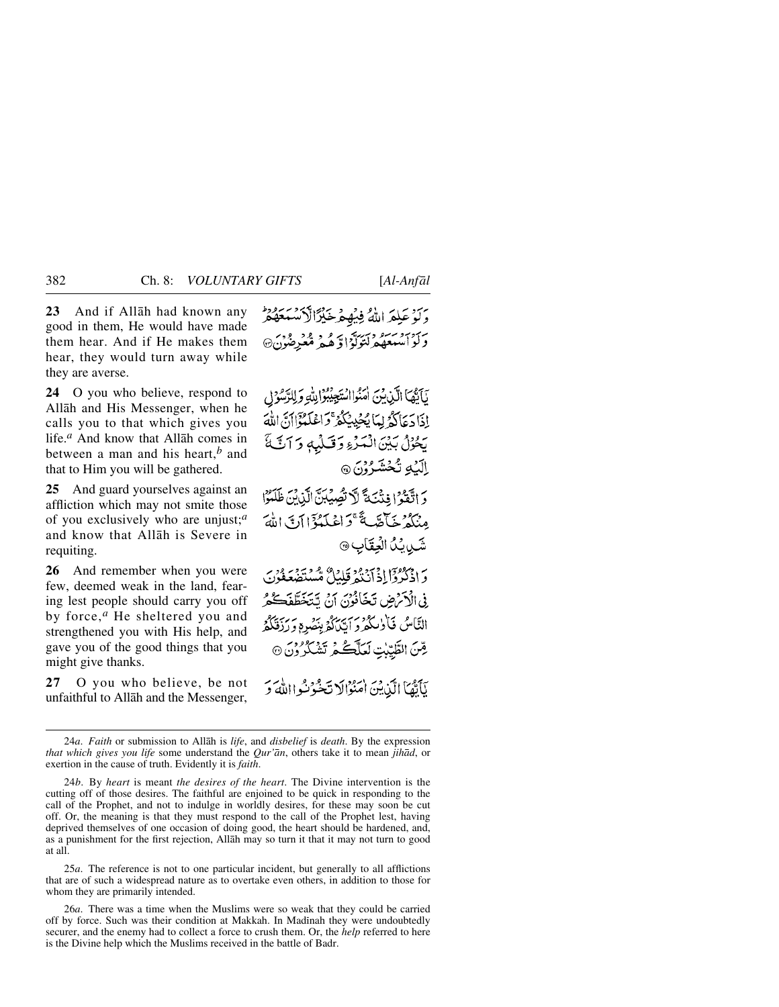**23** And if Allåh had known any good in them, He would have made them hear. And if He makes them hear, they would turn away while they are averse.

**24** O you who believe, respond to Allåh and His Messenger, when he calls you to that which gives you life.*<sup>a</sup>* And know that Allåh comes in between a man and his heart,*<sup>b</sup>* and that to Him you will be gathered.

**25** And guard yourselves against an affliction which may not smite those of you exclusively who are unjust;*<sup>a</sup>* and know that Allåh is Severe in requiting.

**26** And remember when you were few, deemed weak in the land, fearing lest people should carry you off by force,*<sup>a</sup>* He sheltered you and strengthened you with His help, and gave you of the good things that you might give thanks.

**27** O you who believe, be not unfaithful to Allåh and the Messenger, وَكُوْعَلِمَ اللَّهُ فِيُهِمْ خَيْرًالْاَنْسَعْهُمْ د آدامبرد دکترگوا و همه معبر مرد:

نَاَيْهَا الَّذِينَ أَمَنُوااسْتَجِيْبُوْالِلَّهِ وَلِلرَّسُوْلِ إِذَا دَعَاكُمُ لِمَا يُجْدِيْكُمُّ وَاعْلَمُوْٓالَ، اللَّهَ يَحْزُلُ بَيْنَ الْمَرْءِ وَقَبَلْهِ وَ آتَّةً الآيم تُخشَرُوْنَ ۞

وَ اتَّقَوْ إِخِنْتَ تَالَا تُصِيِّبَنَّ الَّذِينَ ظَلَمُوْا مِنْكُمْ خَبِّاَّقْبِيَّةً ۚ وَاعْلَيْهُ ۚ إِلَابِي اللَّهَ شَيْدِيْدُ الْعِقَابِ ۞

وَ اذْكُرْدْ إِلاَّ أَيْنَهُ وَكَذَا مُّسْتَصْعَفُونَ فِي الْأَمْرُضِ تَخَافُوْنَ أَنَّ تَتَخَطَّفَكُمْ النَّاسُ فَأَوٰلِكُمْ وَ ٱتَّىٰلُهُ بِنَصْرِهِ وَ رَبَّقَكُمُ قِّنَ الطَّيِّبْتِ لَعَلَّكُمُ تَشْكُرُونَ @

نَأَتْمَا الَّذِيْنَ اٰمَنُوْالَا نَخْبُوْنُهِ االلَّهَ وَ

25*a*. The reference is not to one particular incident, but generally to all afflictions that are of such a widespread nature as to overtake even others, in addition to those for whom they are primarily intended.

26*a*. There was a time when the Muslims were so weak that they could be carried off by force. Such was their condition at Makkah. In Madinah they were undoubtedly securer, and the enemy had to collect a force to crush them. Or, the *help* referred to here is the Divine help which the Muslims received in the battle of Badr.

<sup>24</sup>*a*. *Faith* or submission to Allåh is *life*, and *disbelief* is *death*. By the expression *that which gives you life* some understand the *Qur'ån*, others take it to mean *jihåd*, or exertion in the cause of truth. Evidently it is *faith*.

<sup>24</sup>*b*. By *heart* is meant *the desires of the heart*. The Divine intervention is the cutting off of those desires. The faithful are enjoined to be quick in responding to the call of the Prophet, and not to indulge in worldly desires, for these may soon be cut off. Or, the meaning is that they must respond to the call of the Prophet lest, having deprived themselves of one occasion of doing good, the heart should be hardened, and, as a punishment for the first rejection, Allåh may so turn it that it may not turn to good at all.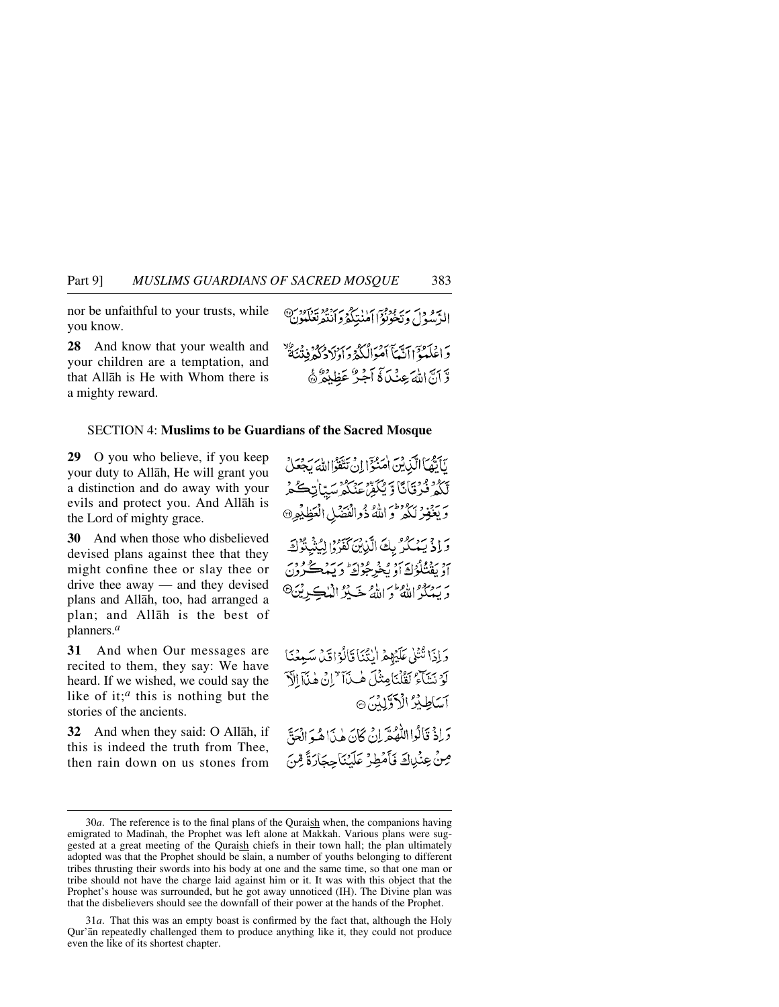nor be unfaithful to your trusts, while you know.

**28** And know that your wealth and your children are a temptation, and that Allåh is He with Whom there is a mighty reward.

#### SECTION 4: **Muslims to be Guardians of the Sacred Mosque**

**29** O you who believe, if you keep your duty to Allåh, He will grant you a distinction and do away with your evils and protect you. And Allåh is the Lord of mighty grace.

**30** And when those who disbelieved devised plans against thee that they might confine thee or slay thee or drive thee away — and they devised plans and Allåh, too, had arranged a plan; and Allåh is the best of planners.*<sup>a</sup>*

**31** And when Our messages are recited to them, they say: We have heard. If we wished, we could say the like of it;*<sup>a</sup>* this is nothing but the stories of the ancients.

**32** And when they said: O Allåh, if this is indeed the truth from Thee, then rain down on us stones from الدَّود م سرٍّ ودوْدَ أمان كوسر وود مردود بن<br>الرَّسُولُ ويَخونُواْ أمننتِكُمْ وأنْتُهرَ تَعْلَيونَ وَاعْلَيْهُمْ ٱلَّيْمَا ٱمْوَالْكُهُ وَإِدْلَادُكُهُ فِيهْ يَبْتَهُ وَّ أَنَّ اللَّهَ عِنْكَاهُ أَجُرٌ عَظِيْفُرٌ هَ

نَابَقْهَا الَّذِينَ اٰمَنُوٓٓا!نْ تَتَّقَوْااللَّهَ رَجْعَلْ بِّكُمْ فُرْقَانَا وَيُكَفِّ عَنْكُمْ سَبَّاتِكُمْ وَيَغْفِرْ نَكُمْ وَاللَّهُ ذُوالْفَقَنْلِ الْعَظِيْمِرِ۞ وَإِذْ يَهْكُرُ بِكَ الَّذِينَ كَفَرُوْا لِيُثْبِئُوْكَ

بر روواد به د و د عزایه این د سعود در<br>او پفتگوڭ او پخوشوك و پېدكرون رَيْهِ مِنْ الْقُطْرَ اللَّهُ حَيْثَرُ الْمُلْڪِرِيْنَ<sup>6</sup>

وَإِذَا تُتْلَىٰ عَلَيْهِمْ الْنُبْيَا قَالُوْاقِيْ سَبِيعْنَا لَوْ نَتَنَاءُ لَقُلْنَامِثْلَ هٰذَا " إِنْ هٰذَا الْآ آسَاطِيْرُ الْآوَّلِدُ 6

وَإِذْ قَالُوااللَّهُ مَّرَ إِنْ كَانَ هٰذَاهُ وَالْعَقَّ صِنْ عِنْدِاكَ فَأَمْطِرُ عَلَيْنَاجِحَارَةً مِّنَ

<sup>30</sup>*a*. The reference is to the final plans of the Quraish when, the companions having emigrated to Madinah, the Prophet was left alone at Makkah. Various plans were suggested at a great meeting of the Quraish chiefs in their town hall; the plan ultimately adopted was that the Prophet should be slain, a number of youths belonging to different tribes thrusting their swords into his body at one and the same time, so that one man or tribe should not have the charge laid against him or it. It was with this object that the Prophet's house was surrounded, but he got away unnoticed (IH). The Divine plan was that the disbelievers should see the downfall of their power at the hands of the Prophet.

<sup>31</sup>*a*. That this was an empty boast is confirmed by the fact that, although the Holy Qur'ån repeatedly challenged them to produce anything like it, they could not produce even the like of its shortest chapter.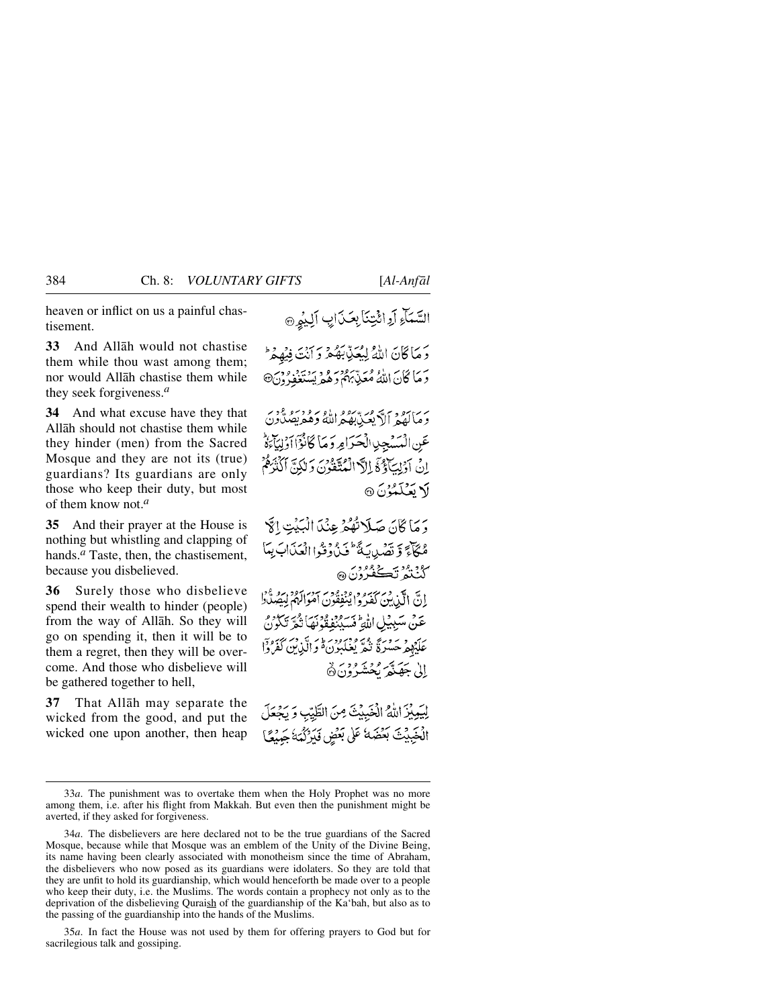heaven or inflict on us a painful chastisement.

**33** And Allåh would not chastise them while thou wast among them; nor would Allåh chastise them while they seek forgiveness.*<sup>a</sup>*

**34** And what excuse have they that Allåh should not chastise them while they hinder (men) from the Sacred Mosque and they are not its (true) guardians? Its guardians are only those who keep their duty, but most of them know not.*<sup>a</sup>*

**35** And their prayer at the House is nothing but whistling and clapping of hands.<sup>*a*</sup> Taste, then, the chastisement, because you disbelieved.

**36** Surely those who disbelieve spend their wealth to hinder (people) from the way of Allåh. So they will go on spending it, then it will be to them a regret, then they will be overcome. And those who disbelieve will be gathered together to hell,

**37** That Allåh may separate the wicked from the good, and put the wicked one upon another, then heap

دَ مَا كَانَ اللَّهُ لِيُعَنِّيبَهُمْ وَ أَنْتَ فِيهِمْ ۖ دَ مَا كَانَ اللَّهُ مُعَنِّهُهُمْ دَهُمْهُ يَسۡتَغِفُرُونَ@

یر ماہور ہے میں بھو اللہ وگھ یصدون عَنِ الْمَسْجِدِ الْحَيَرَامِرِ وَ مَا كَانُوْٓا أَوْلِيَآءَهُ إِنْ آدْنِكَآؤُغَ إِلَّا الْمُتَّقُونَ وَلَٰكِنَّ أَكْثَرَهُمْ **1 سَنَمْنُ** نَ @

دَ مَا ݣَانَ صَلَّاتُهُمْ عِنْدَالْبَيْتِ الْآ مُكَأَّبَحَ وَ تَصَدِيبَةً ۖ فَيْ دُفَّوْ الْعَذَابَ بِعَا ڴڹ۠ڎ<sup>ڔ</sup>ؾڴڣ۠ۯۯؘۿ

إِنَّ الَّذِينَ كَفَرُوا يَنْفِقُونَ آمَوَالَهُمْ لِيَصُدُّرُ عَنْ مَسْبِيْلِ اللَّهِ فَسَيْنَفِقُونَهَا ثُمَّرَ تَكُونَ عَلَيْهِمْ حَسْرَةً نَمْهَ وَمَرْدِيهِمْ أَوَالَّذِينَ كَفَرُوْا الى حَقِيَّةُ كَحُشَّهُ فَيْ هَ

لِيَمِيْزَ اللَّهُ الْخَبِيْثَ مِنَ الطَّيّبِ وَيَجْعَلَ الْخَبِيْتَ بَعْضَهُ عَلَى بَعْضٍ فَيَرْكُمَهُ حَيْيَعًا

35*a*. In fact the House was not used by them for offering prayers to God but for sacrilegious talk and gossiping.

السَّمَاءِ أَوِائِيْنَابِعَذَابِ أَلِيْهِنَ

<sup>33</sup>*a*. The punishment was to overtake them when the Holy Prophet was no more among them, i.e. after his flight from Makkah. But even then the punishment might be averted, if they asked for forgiveness.

<sup>34</sup>*a*. The disbelievers are here declared not to be the true guardians of the Sacred Mosque, because while that Mosque was an emblem of the Unity of the Divine Being, its name having been clearly associated with monotheism since the time of Abraham, the disbelievers who now posed as its guardians were idolaters. So they are told that they are unfit to hold its guardianship, which would henceforth be made over to a people who keep their duty, i.e. the Muslims. The words contain a prophecy not only as to the deprivation of the disbelieving Quraish of the guardianship of the Ka'bah, but also as to the passing of the guardianship into the hands of the Muslims.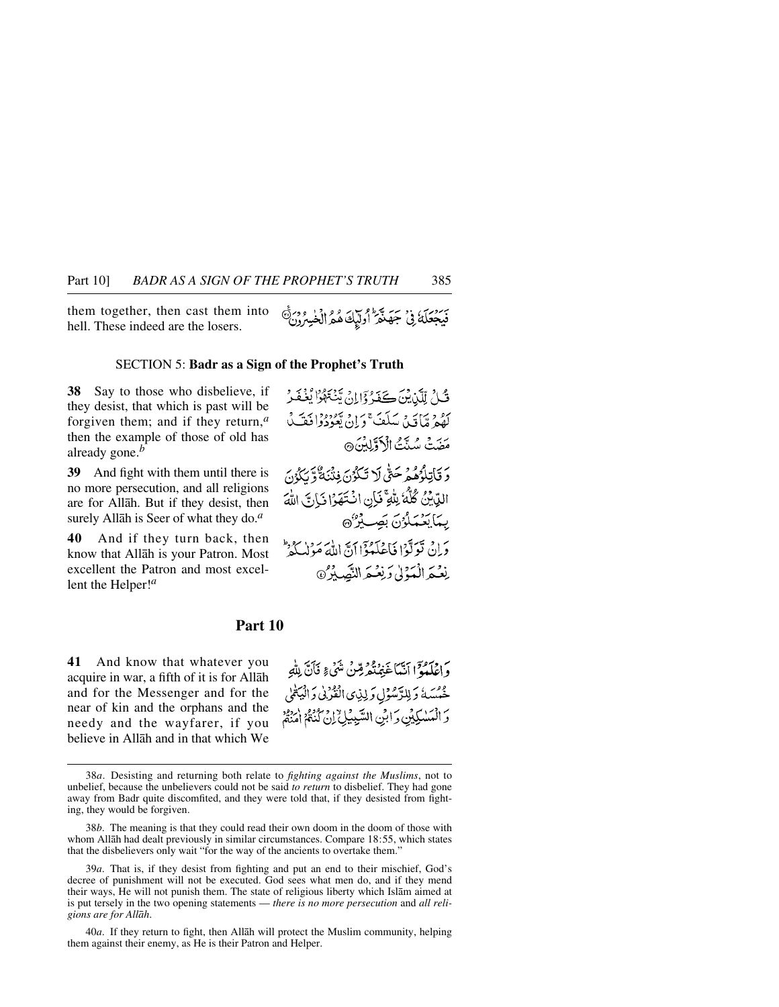them together, then cast them into hell. These indeed are the losers.

#### SECTION 5: **Badr as a Sign of the Prophet's Truth**

**38** Say to those who disbelieve, if they desist, that which is past will be forgiven them; and if they return,*<sup>a</sup>* then the example of those of old has already gone.*<sup>b</sup>*

**39** And fight with them until there is no more persecution, and all religions are for Allåh. But if they desist, then surely Allåh is Seer of what they do.*<sup>a</sup>*

**40** And if they turn back, then know that Allåh is your Patron. Most excellent the Patron and most excellent the Helper!*<sup>a</sup>*

#### **Part 10**

**41** And know that whatever you acquire in war, a fifth of it is for Allåh and for the Messenger and for the near of kin and the orphans and the needy and the wayfarer, if you believe in Allåh and in that which We

وَإِيَّلْهُوْا أَنَّمَا غَفِهُ قِمْنٌ شَيْءٍ نَأَنَّ بِلَّهِ عْمُسَهُ وَلِلرَّسُوْلِ وَلِذِى الْفُرُنِى وَالْيَكْمِي وَ الْمَسْكِيْنِ وَابْنِي السَّبِيْلِيُّ إِنْ كُنْهُمْ إِمْنِهُمْ

<sup>38</sup>*a*. Desisting and returning both relate to *fighting against the Muslims*, not to unbelief, because the unbelievers could not be said *to return* to disbelief. They had gone away from Badr quite discomfited, and they were told that, if they desisted from fighting, they would be forgiven.

<sup>38</sup>*b*. The meaning is that they could read their own doom in the doom of those with whom Allåh had dealt previously in similar circumstances. Compare 18:55, which states that the disbelievers only wait "for the way of the ancients to overtake them."

<sup>39</sup>*a*. That is, if they desist from fighting and put an end to their mischief, God's decree of punishment will not be executed. God sees what men do, and if they mend their ways, He will not punish them. The state of religious liberty which Islåm aimed at is put tersely in the two opening statements — *there is no more persecution* and *all religions are for Allåh*.

<sup>40</sup>*a*. If they return to fight, then Allåh will protect the Muslim community, helping them against their enemy, as He is their Patron and Helper.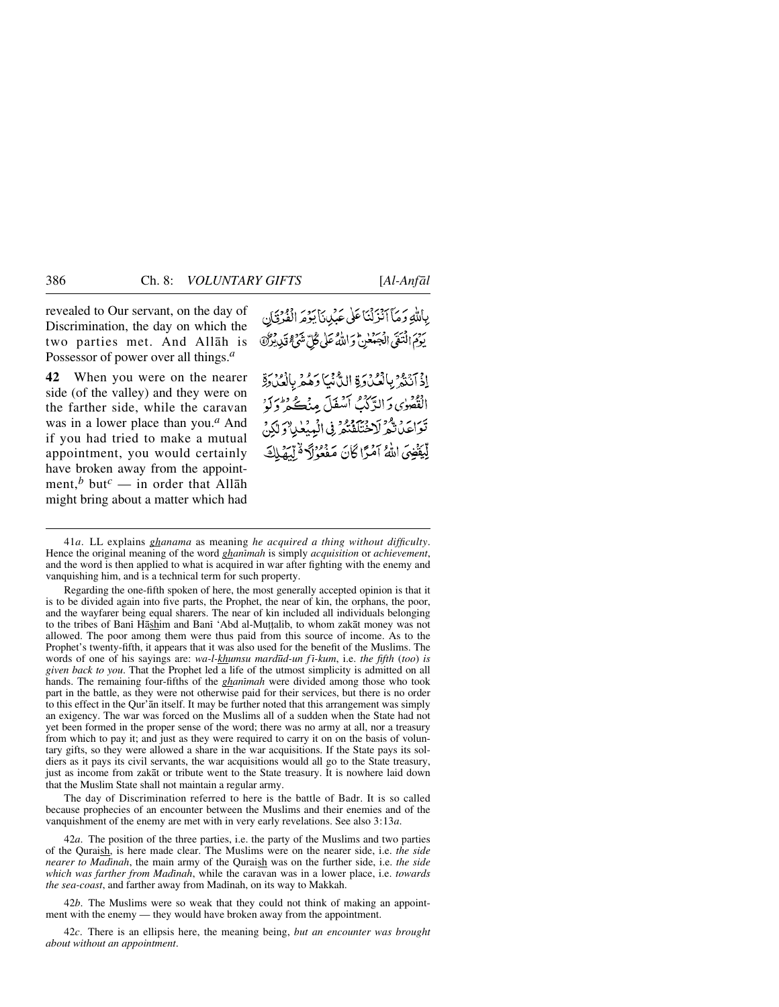revealed to Our servant, on the day of Discrimination, the day on which the two parties met. And Allåh is Possessor of power over all things.*<sup>a</sup>*

**42** When you were on the nearer side (of the valley) and they were on the farther side, while the caravan was in a lower place than you.*<sup>a</sup>* And if you had tried to make a mutual appointment, you would certainly have broken away from the appointment,<sup>*b*</sup> but<sup>*c*</sup> — in order that Allāh might bring about a matter which had

بِاللَّهِ وَمَأَ أَنْزَلْنَا عَلَى عَبْدِينَا يَؤْمَرِ الْفُرْقَانِ يَوْمَ الْمَعَلِّي الْجَهَعْنِ وَاللَّهُ عَلَى كُلِّ شَيْءٍ قَدْرِ بِرْبَرَةٍ

اِذْ آنَنَهُ بِالْعُدُوَةِ الدُّنْيَا وَهُمْ بِالْعُدُوةِ الْقْصُوٰي وَالدَّكْثُ أَسْفَلَ مِنۡڪُ وَطُرَكَهُۥ تَوَاعَدُ تَدْمَرَ لَاخْتَلَفْتُمْ فِي الْمِيْعٰلِ وَلَٰكِنَّ لِّيَقَضِيَ اللَّهُ آَمَرًا كَانَ مَفْعُوْلَا ةُلِّيَهَٰلِكَ

Regarding the one-fifth spoken of here, the most generally accepted opinion is that it is to be divided again into five parts, the Prophet, the near of kin, the orphans, the poor, and the wayfarer being equal sharers. The near of kin included all individuals belonging to the tribes of Bani Hashim and Bani 'Abd al-Muṭṭalib, to whom zakāt money was not allowed. The poor among them were thus paid from this source of income. As to the Prophet's twenty-fifth, it appears that it was also used for the benefit of the Muslims. The words of one of his sayings are: *wa-l-khumsu mard∂d-un f ß-kum*, i.e. *the fifth* (*too*) *is given back to you*. That the Prophet led a life of the utmost simplicity is admitted on all hands. The remaining four-fifths of the *ghanimah* were divided among those who took part in the battle, as they were not otherwise paid for their services, but there is no order to this effect in the Qur'ån itself. It may be further noted that this arrangement was simply an exigency. The war was forced on the Muslims all of a sudden when the State had not yet been formed in the proper sense of the word; there was no army at all, nor a treasury from which to pay it; and just as they were required to carry it on on the basis of voluntary gifts, so they were allowed a share in the war acquisitions. If the State pays its soldiers as it pays its civil servants, the war acquisitions would all go to the State treasury, just as income from zakåt or tribute went to the State treasury. It is nowhere laid down that the Muslim State shall not maintain a regular army.

The day of Discrimination referred to here is the battle of Badr. It is so called because prophecies of an encounter between the Muslims and their enemies and of the vanquishment of the enemy are met with in very early revelations. See also 3:13*a*.

42*a*. The position of the three parties, i.e. the party of the Muslims and two parties of the Quraish, is here made clear. The Muslims were on the nearer side, i.e. *the side nearer to Madinah*, the main army of the Quraish was on the further side, i.e. *the side which was farther from Madinah*, while the caravan was in a lower place, i.e. *towards the sea-coast*, and farther away from Madinah, on its way to Makkah.

42*b*. The Muslims were so weak that they could not think of making an appointment with the enemy — they would have broken away from the appointment.

42*c*. There is an ellipsis here, the meaning being, *but an encounter was brought about without an appointment*.

<sup>41</sup>*a*. LL explains *ghanama* as meaning *he acquired a thing without difficulty*. Hence the original meaning of the word *ghanimah* is simply *acquisition* or *achievement*, and the word is then applied to what is acquired in war after fighting with the enemy and vanquishing him, and is a technical term for such property.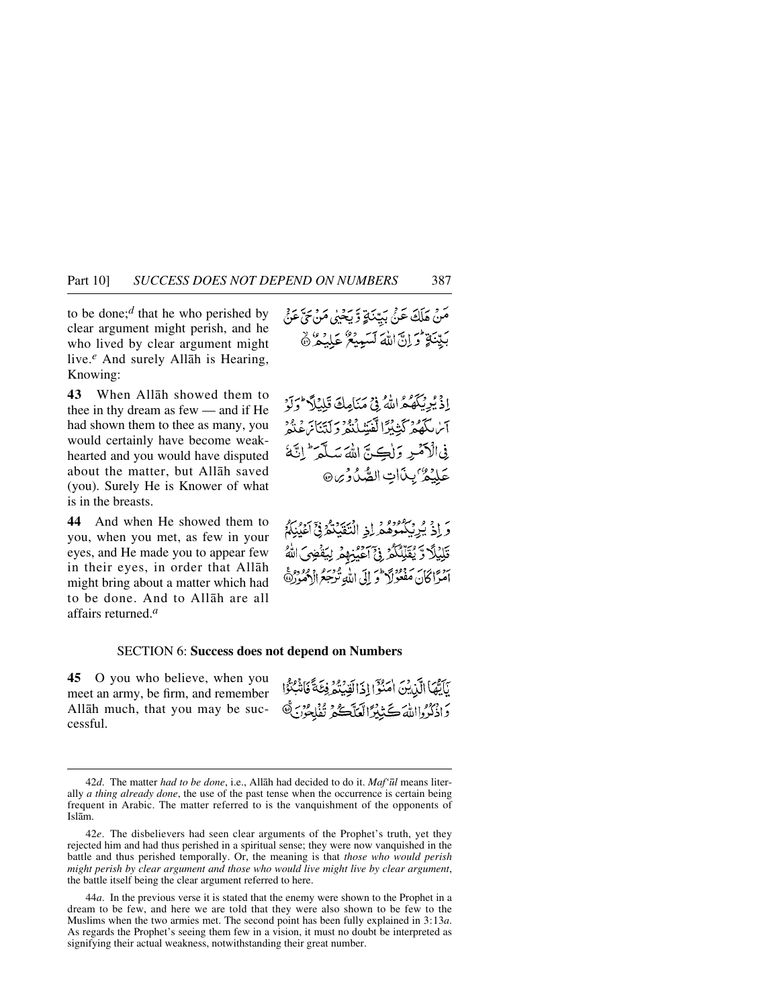to be done;*<sup>d</sup>* that he who perished by clear argument might perish, and he who lived by clear argument might live.*<sup>e</sup>* And surely Allåh is Hearing, Knowing:

**43** When Allåh showed them to thee in thy dream as few — and if He had shown them to thee as many, you would certainly have become weakhearted and you would have disputed about the matter, but Allåh saved (you). Surely He is Knower of what is in the breasts.

**44** And when He showed them to you, when you met, as few in your eyes, and He made you to appear few in their eyes, in order that Allåh might bring about a matter which had to be done. And to Allåh are all affairs returned.*<sup>a</sup>*

إِذْ يُرِيَّكَهُ هُمَ اللَّهُ فِي مَنَامِلَةَ قَبْلِنَلاَ وَلَوْ آبر لكَهُمْ كَيْبْدِّ الْفَيْنِيلُنْهُمْ وَلَيْبَانَ عَدُّهُ فِي الْأَصْرِ وَلِكِيمٌ اللَّهَ سَبِلَّهُ ۖ إِنَّهُ عَلَيْكُرُ'بِذَاتِ الصَّدُورِ @

وَ إِذْ يُرِيَّكُمُوهُ وَ إِذِ الْتَقَيَنُوْنَى أَعَيْنِكُمْ قَلِيُلَا وَّ يُقَلِّلُكُمُ فِيَ آَعَيُنِهِمُ لِيَفْضِىَ اللَّهُ بِهِ مِنْ مَدْمُ وَإِنَّ اللَّهِ تُدْمِعُ إِلَيْهِ مِنْ مِنْ الْمَوْرِثَةِ }<br>امْرَأْكَانَ مَفْعُولَا وَ إِلَى اللَّهِ تُدْجَعُ الْأَمْوِرِثَةِ }

#### SECTION 6: **Success does not depend on Numbers**

**45** O you who believe, when you meet an army, be firm, and remember Allåh much, that you may be successful.

نَاتِّهَا الَّذِينَ اٰمَنُوَّ اِذَالَقِيْتُهُ فِئَةً فَاشْتُوْا دَاذْكُرُوااللَّهَ كَتَبِيْرًا لَعَلَّكُمْ تُفْلِحُونَ ﴾

<sup>42</sup>*d*. The matter *had to be done*, i.e., Allåh had decided to do it. *Maf'∂l* means literally *a thing already done*, the use of the past tense when the occurrence is certain being frequent in Arabic. The matter referred to is the vanquishment of the opponents of Islåm.

<sup>42</sup>*e*. The disbelievers had seen clear arguments of the Prophet's truth, yet they rejected him and had thus perished in a spiritual sense; they were now vanquished in the battle and thus perished temporally. Or, the meaning is that *those who would perish might perish by clear argument and those who would live might live by clear argument*, the battle itself being the clear argument referred to here.

<sup>44</sup>*a*. In the previous verse it is stated that the enemy were shown to the Prophet in a dream to be few, and here we are told that they were also shown to be few to the Muslims when the two armies met. The second point has been fully explained in 3:13*a*. As regards the Prophet's seeing them few in a vision, it must no doubt be interpreted as signifying their actual weakness, notwithstanding their great number.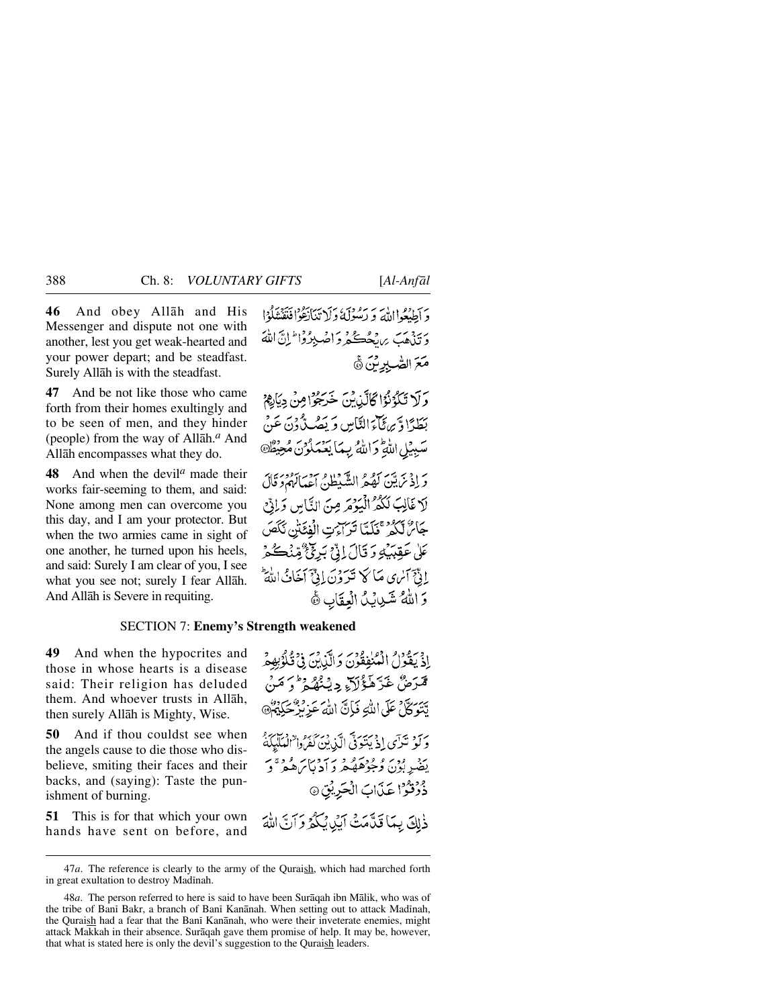**46** And obey Allåh and His Messenger and dispute not one with another, lest you get weak-hearted and your power depart; and be steadfast. Surely Allåh is with the steadfast.

**47** And be not like those who came forth from their homes exultingly and to be seen of men, and they hinder (people) from the way of Allåh.*<sup>a</sup>* And Allåh encompasses what they do.

**48** And when the devil*<sup>a</sup>* made their works fair-seeming to them, and said: None among men can overcome you this day, and I am your protector. But when the two armies came in sight of one another, he turned upon his heels, and said: Surely I am clear of you, I see what you see not; surely I fear Allåh. And Allåh is Severe in requiting.

دَ أَطِيعُوا إِلَيْهِ وَ رَسُولَهُ وَلَا تَبَانَةُوْافَنَقَتْنَاوُا دَيَّنْهُبَ بِرِنْجُڪُمْ دَاصْبِدُوْا ۖ إِنَّ اللَّهَ مَعَ الصّٰبِرِينَ ﴾

وَلَا تَكُوُنُوْا كَالَّذِينَ خَرَجُوْا مِنْ دِيَاهِمْ بَطَدًا وَّ سِمَأَجَالِنَّاسِ وَ يَصُبُّهُ دِنَ ۖ سَبِيبُلِ اللَّهِ وَاللَّهُ بِبِيمَا يَعْمَلُوْنَ مُعِ

وَ إِذْ مَن يَبْنَ كَهُكُّهُ الشَّيْطُنُّ اعْدَابَهُمْ دَ قَالَ لَا غَالِبَ لَكُمْ الْيَوْمَ مِنَ النَّاسِ وَإِنِّ جَائِرٌ لَكُمْ كَخَلَمْاً تَرَاءَتِ الْفَئَتْنِ نَكَصَ عَلَىٰ عَقِبَيْكِهِ وَ قَالَ إِذْنِجَ بَرِئِيٌّ مِّنْكُمْ إِنَّ أَسْرَى مَا كَهُ تَدَدَّنَ إِنَّيْ أَخَابُ اللَّهَ وَ اللَّهُ شَيْدِيْدُ الْعِقَابِ ﴾

#### SECTION 7: **Enemy's Strength weakened**

**49** And when the hypocrites and those in whose hearts is a disease said: Their religion has deluded them. And whoever trusts in Allåh, then surely Allåh is Mighty, Wise.

**50** And if thou couldst see when the angels cause to die those who disbelieve, smiting their faces and their backs, and (saying): Taste the punishment of burning.

**51** This is for that which your own hands have sent on before, and إِذْ يَقُوْلُ الْمُنْفِقُونَ وَالَّذِينَ فِي قُلُؤْبِهِمْ قْمَرَضُ غَرَّهَ فَوُلاَءِ دِيْنُهُمْ ۚ وَمَنْ يَتَوَكَّلْ عَلَى اللَّهِ فَإِنَّ اللَّهَ عَزِيْزٌ حَكِيمٌ وَ لَوْ تَدَى إِذْ بَيْنَوَنَّي الَّذِينَ كَفَرُوا ْالْعَلَيْكَةُ ۚ يضر بون وعودهم دين دين فردي دُوُنُوُّا عَذَابَ الْحَرِيْقِ ۞

ذٰلِكَ بِمَا قَدَّمَتُ أَيْدِيْكُمُ وَأَنَّ اللَّهَ

<sup>47</sup>*a*. The reference is clearly to the army of the Quraish, which had marched forth in great exultation to destroy Madinah.

<sup>48</sup>*a*. The person referred to here is said to have been Suråqah ibn Målik, who was of the tribe of Bani Bakr, a branch of Bani Kanānah. When setting out to attack Madinah, the Quraish had a fear that the Bani Kanānah, who were their inveterate enemies, might attack Makkah in their absence. Suråqah gave them promise of help. It may be, however, that what is stated here is only the devil's suggestion to the Quraish leaders.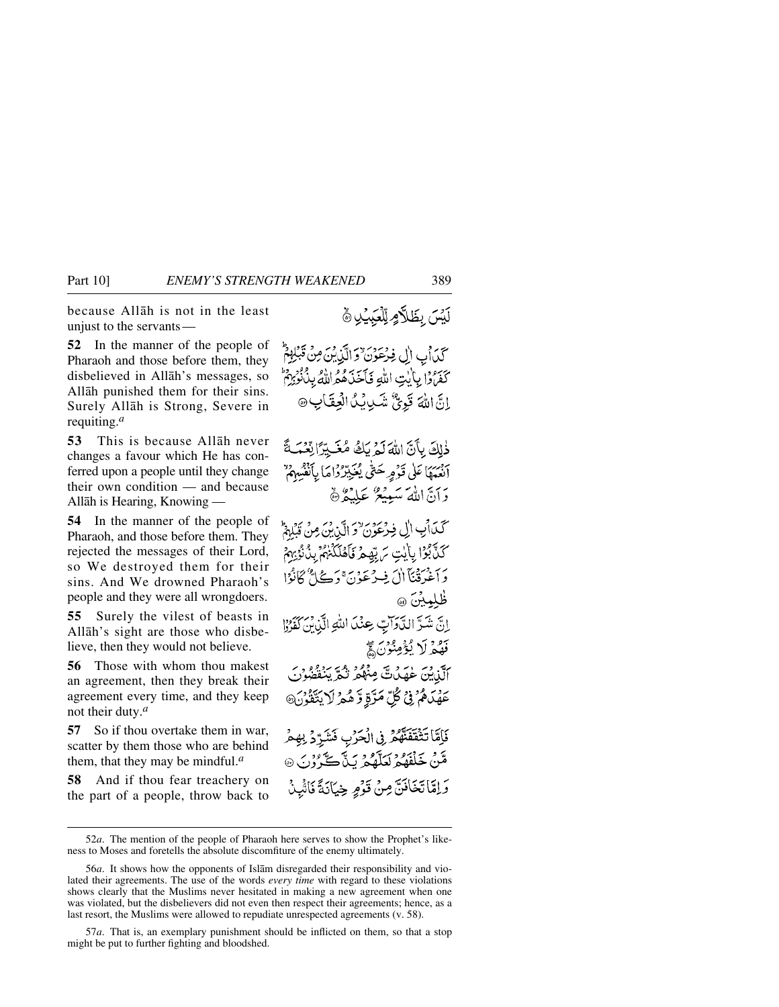because Allåh is not in the least unjust to the servants —

**52** In the manner of the people of Pharaoh and those before them, they disbelieved in Allåh's messages, so Allåh punished them for their sins. Surely Allåh is Strong, Severe in requiting.*<sup>a</sup>*

**53** This is because Allåh never changes a favour which He has conferred upon a people until they change their own condition — and because Allåh is Hearing, Knowing —

**54** In the manner of the people of Pharaoh, and those before them. They rejected the messages of their Lord, so We destroyed them for their sins. And We drowned Pharaoh's people and they were all wrongdoers.

**55** Surely the vilest of beasts in Allåh's sight are those who disbelieve, then they would not believe.

**56** Those with whom thou makest an agreement, then they break their agreement every time, and they keep not their duty.*<sup>a</sup>*

**57** So if thou overtake them in war, scatter by them those who are behind them, that they may be mindful.*<sup>a</sup>*

**58** And if thou fear treachery on the part of a people, throw back to لَيْسَ بِظَلَّامٍ لِّلْعَبِيِّلِ ﴾

كَذَابِ إِلِّ فِرْعَوْنَ وَالَّذِينَ مِنْ قَبْلِهِمْ كَفَرَّوْا بِأَيْتِ اللَّهِ فَأَخَذَهُمُّ اللَّهُ بِذُنُّوْبِهِمْ إِنَّ اللَّٰهَ قَوِيٌّ شَدِيدِيُّا الْعِقَابِ ۞

ذٰلِكَ بِأَنَّ اللَّهَ لَمْ بَكُ مُغَيِّرًا لِّغْمَ ابْعِيدا عَلَى قَدْمِهِ حَتَّى يُغَيِّدِّرُدَاهَا بِأَنْفُسِهِمْ" دَأَنَّ اللَّهَ سَبِيعٌ عَلِيْݣُ هَ

كَيْݣَالْبِ اللِّي فِيرْعَوْنَ وَ الَّذِينَ مِنْ مَّ ْكَنَّ بُوْلَ بِأَيْتِ سَ بِّهِجْرِ فَأَهْلَكْنَهُمْ بِنُٰ نُؤِيهِمْ بِرِ فَسَنَّ أَلَ فِيهِ مَوْيَنَ دَبِيَكَ لَأَنَّوَا ظلمين ھ إِنَّ شَرَّ الدَّوَاتِ عِنْدَ اللَّهِ الَّذِينَ كَفَرُوْا فَهُمْ لَا يُؤْمِنُوْنَ ﴾

أَلَّذَٰنَ عَلَيْكَ مِنْهُمْ نَدَّ يَبْتَقُوا عَهْدَهُمْ فِي كُلِّ مَرَّةِ وَّ هُمْ لَا يَتَّقُّونَ@

فَأَمَّا تَثْقَفَنَّهُمْ فِي الْحَرْبِ فَشَرَّدٌ بِهِمْ قَنْ خَلْفَهُمُ لَعَلَّهُمْ يَدَّ كَرُوْنَ ۞ وَإِمَّاتَخَافَنَّ مِنْ قَوْمٍ خِيَانَةً فَاشْدُ

57*a*. That is, an exemplary punishment should be inflicted on them, so that a stop might be put to further fighting and bloodshed.

<sup>52</sup>*a*. The mention of the people of Pharaoh here serves to show the Prophet's likeness to Moses and foretells the absolute discomfiture of the enemy ultimately.

<sup>56</sup>*a*. It shows how the opponents of Islåm disregarded their responsibility and violated their agreements. The use of the words *every time* with regard to these violations shows clearly that the Muslims never hesitated in making a new agreement when one was violated, but the disbelievers did not even then respect their agreements; hence, as a last resort, the Muslims were allowed to repudiate unrespected agreements (v. 58).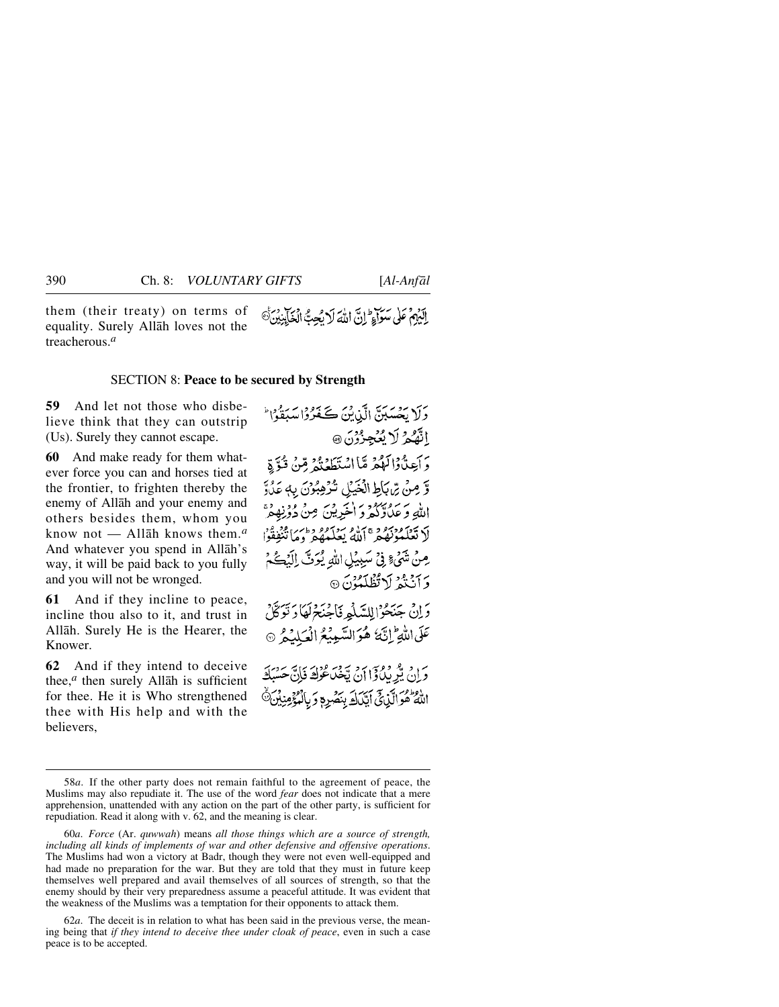them (their treaty) on terms of equality. Surely Allåh loves not the treacherous.*<sup>a</sup>*

#### SECTION 8: **Peace to be secured by Strength**

**59** And let not those who disbelieve think that they can outstrip (Us). Surely they cannot escape.

**60** And make ready for them whatever force you can and horses tied at the frontier, to frighten thereby the enemy of Allåh and your enemy and others besides them, whom you know not — Allåh knows them.*<sup>a</sup>* And whatever you spend in Allåh's way, it will be paid back to you fully and you will not be wronged.

**61** And if they incline to peace, incline thou also to it, and trust in Allåh. Surely He is the Hearer, the Knower.

**62** And if they intend to deceive thee, $<sup>a</sup>$  then surely Allah is sufficient</sup> for thee. He it is Who strengthened thee with His help and with the believers,

الَّذُهِمْ عَلَى سَوَاءٍ لِنَّ اللَّهَ لَا يُعِبُّ الْخَابِنِينَ ﴾

سې پېړو پرسيږي. دې په دې په دوه سربرچين

دَانْ جَنَحْرُالِلسَّلْمِرِ نَاجُنَحْهُا دَتَوَكَّلْ عَلَى اللَّهِ إِنَّهُ هُوَ السَّمِيْعُ الْعَبِلِيْمُ @

یں ویڈ ووس ہے ویک عواقہ قادری سروریہ<br>ویان پیو پیداؤا ان تحصا عواقہ قادری حسیلہ اللَّهُ هُوَالَّذِيْنَ أَيَّيْدَكَ بِنَصْرِهِ وَبِالْمُؤْمِنِيْنَ ﴾

<sup>58</sup>*a*. If the other party does not remain faithful to the agreement of peace, the Muslims may also repudiate it. The use of the word *fear* does not indicate that a mere apprehension, unattended with any action on the part of the other party, is sufficient for repudiation. Read it along with v. 62, and the meaning is clear.

<sup>60</sup>*a*. *Force* (Ar. *quwwah*) means *all those things which are a source of strength, including all kinds of implements of war and other defensive and offensive operations*. The Muslims had won a victory at Badr, though they were not even well-equipped and had made no preparation for the war. But they are told that they must in future keep themselves well prepared and avail themselves of all sources of strength, so that the enemy should by their very preparedness assume a peaceful attitude. It was evident that the weakness of the Muslims was a temptation for their opponents to attack them.

<sup>62</sup>*a*. The deceit is in relation to what has been said in the previous verse, the meaning being that *if they intend to deceive thee under cloak of peace*, even in such a case peace is to be accepted.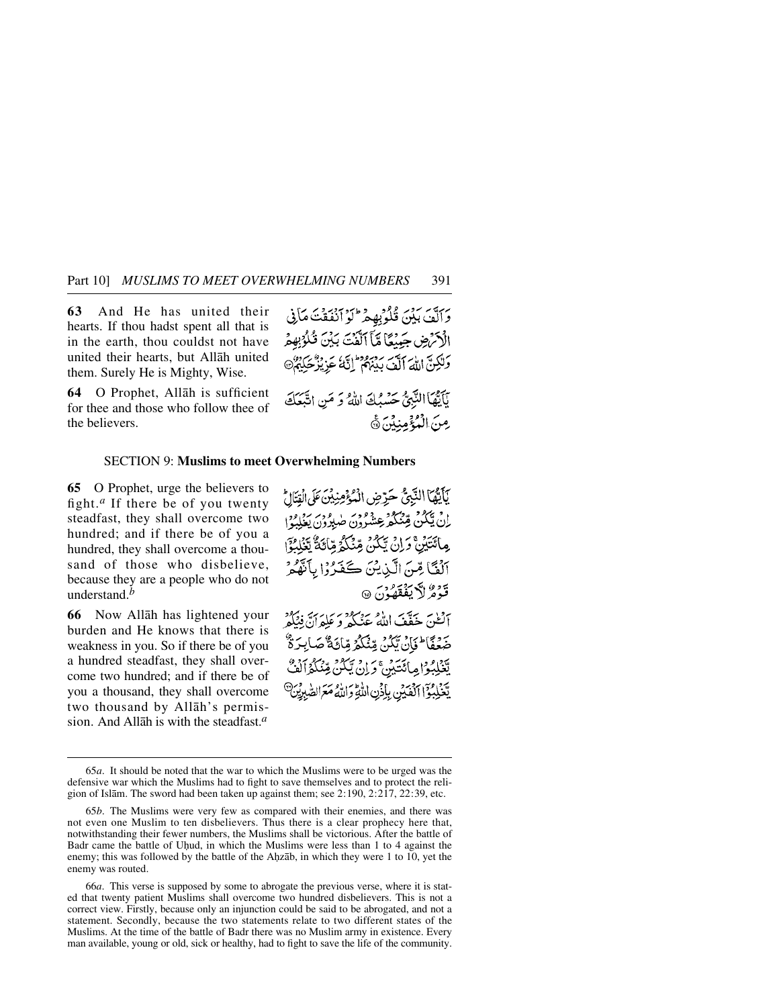**63** And He has united their hearts. If thou hadst spent all that is in the earth, thou couldst not have united their hearts, but Allåh united them. Surely He is Mighty, Wise.

the believers.

**64** O Prophet, Allåh is sufficient for thee and those who follow thee of

الْأَكْرَضِ جَبِيْعًا مَّآ ٱلَّفَتَ بَيْنَ قُلُوۡبِهِمُ وَلَٰكِنَّ اللَّهَ ٱلَّٰهَ بِدِبْرُهُمْ ۚ إِنَّهُمْ عَزِيْزٌ حَكِيمٌ بَآيَّهَا النَّبِيُّ حَسْبُكَ اللَّهُ وَ مَنِ اتَّبَعَكَ

مِنَ الْمُؤْمِنِينَ ﴾

وَآلَفَ بَيْنَ قُلُوبِهِ مِرْ ۖ لَوْ أَنْفَقْتَ مَأْنِي

#### SECTION 9: **Muslims to meet Overwhelming Numbers**

**65** O Prophet, urge the believers to fight.*<sup>a</sup>* If there be of you twenty steadfast, they shall overcome two hundred; and if there be of you a hundred, they shall overcome a thousand of those who disbelieve, because they are a people who do not understand.*<sup>b</sup>*

**66** Now Allåh has lightened your burden and He knows that there is weakness in you. So if there be of you a hundred steadfast, they shall overcome two hundred; and if there be of you a thousand, they shall overcome two thousand by Allåh's permission. And Allåh is with the steadfast.*<sup>a</sup>*

يَأَيُّهَا النَّبِيُّ حَرِّضِ الْمُؤْمِنِينَ عَلَى الْقِتَالُ إِنْ يَٰٓكُنْ قِئْتُكُمْ عِشْرُونَ صٰلِدُونَ يَغْلِبُوْا مِائَتَيْنَ وَإِنْ يَكُنْ مِّنْكُمُ مِّائَةٌ يَّنْكُمُ الْمَحْدَ آلُفَّا مِّنَ الَّذِيْنَ كَفَرُوْا بِأَنَّهُمُّ قَدْمٌ لَا يَفْقَفُ: 6 .<br>أَلَّكْنَ خَفَّفَ اللَّهُ عَنْكُمْ وَ عَلِمَانٌ فِيْكُمْ ۻ*ٙۼ*ٙڣؖٲ<sup>ٳ</sup>ڂٲڽۨؾؘۣۜػۯۦڣڹ۫ػػۯ؋ٮٵۼؘ<sup>ٷ</sup>۠ڞٳڹۯٷٛ يَّعۡلِبُواطِائِتَيۡنَ ۚ وَإِنۡ يَّكُنُّ مِّنۡكُمۡۤاَلۡفُّ يْغَلِبُوْۤا ٱلۡفَيۡنِ بِإِذۡنِ اللَّهِۚ وَاللَّهُ مَعَ الصّٰبِيِّنَ ۖ

<sup>65</sup>*a*. It should be noted that the war to which the Muslims were to be urged was the defensive war which the Muslims had to fight to save themselves and to protect the religion of Islåm. The sword had been taken up against them; see 2:190, 2:217, 22:39, etc.

<sup>65</sup>*b*. The Muslims were very few as compared with their enemies, and there was not even one Muslim to ten disbelievers. Thus there is a clear prophecy here that, notwithstanding their fewer numbers, the Muslims shall be victorious. After the battle of Badr came the battle of Uhud, in which the Muslims were less than 1 to 4 against the enemy; this was followed by the battle of the Ahzāb, in which they were 1 to 10, yet the enemy was routed.

<sup>66</sup>*a*. This verse is supposed by some to abrogate the previous verse, where it is stated that twenty patient Muslims shall overcome two hundred disbelievers. This is not a correct view. Firstly, because only an injunction could be said to be abrogated, and not a statement. Secondly, because the two statements relate to two different states of the Muslims. At the time of the battle of Badr there was no Muslim army in existence. Every man available, young or old, sick or healthy, had to fight to save the life of the community.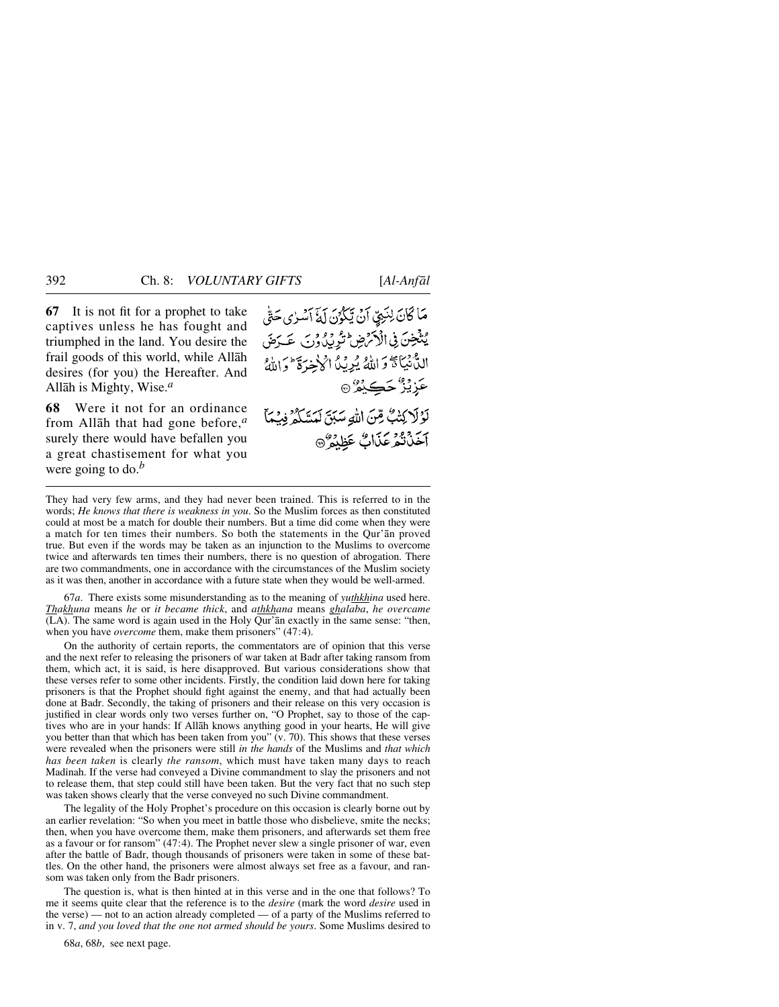**67** It is not fit for a prophet to take captives unless he has fought and triumphed in the land. You desire the frail goods of this world, while Allåh desires (for you) the Hereafter. And Allåh is Mighty, Wise.*<sup>a</sup>*

**68** Were it not for an ordinance from Allåh that had gone before,*<sup>a</sup>* surely there would have befallen you a great chastisement for what you were going to do.*<sup>b</sup>*

مَا كَانَ لِنَبِيٍّ آنْ يَكْرُنَ لَهُ آسْرٰى حَتَّى يُنْتَخِنَ فِي الْأَمْرَضِ ثَيْرِيْدٌ وَنِ عَيَدَهَنَ الدُّّنِيَّاةَ وَاللَّهُ يُرِيَّدُا أَكْرَخِرَةَ وَاللَّهُ عَزِيْزٌ حَڪِيْمٌ ۞ لَوْلَا كِتْبٌ مِّنَ اللَّهِ سَبَقَ لَمَسَّلَمٌ فِسْمَأَ آخَذَتَهُ عَذَابٌ عَظِنَهٌ @

They had very few arms, and they had never been trained. This is referred to in the words; *He knows that there is weakness in you*. So the Muslim forces as then constituted could at most be a match for double their numbers. But a time did come when they were a match for ten times their numbers. So both the statements in the Qur'ån proved true. But even if the words may be taken as an injunction to the Muslims to overcome twice and afterwards ten times their numbers, there is no question of abrogation. There are two commandments, one in accordance with the circumstances of the Muslim society as it was then, another in accordance with a future state when they would be well-armed.

67*a*. There exists some misunderstanding as to the meaning of *yuthkhina* used here. *Thakhuna* means *he* or *it became thick*, and *athkhana* means *ghalaba*, *he overcame* (LA). The same word is again used in the Holy Qur'ån exactly in the same sense: "then, when you have *overcome* them, make them prisoners" (47:4).

On the authority of certain reports, the commentators are of opinion that this verse and the next refer to releasing the prisoners of war taken at Badr after taking ransom from them, which act, it is said, is here disapproved. But various considerations show that these verses refer to some other incidents. Firstly, the condition laid down here for taking prisoners is that the Prophet should fight against the enemy, and that had actually been done at Badr. Secondly, the taking of prisoners and their release on this very occasion is justified in clear words only two verses further on, "O Prophet, say to those of the captives who are in your hands: If Allåh knows anything good in your hearts, He will give you better than that which has been taken from you" (v. 70). This shows that these verses were revealed when the prisoners were still *in the hands* of the Muslims and *that which has been taken* is clearly *the ransom*, which must have taken many days to reach Madinah. If the verse had conveyed a Divine commandment to slay the prisoners and not to release them, that step could still have been taken. But the very fact that no such step was taken shows clearly that the verse conveyed no such Divine commandment.

The legality of the Holy Prophet's procedure on this occasion is clearly borne out by an earlier revelation: "So when you meet in battle those who disbelieve, smite the necks; then, when you have overcome them, make them prisoners, and afterwards set them free as a favour or for ransom" (47:4). The Prophet never slew a single prisoner of war, even after the battle of Badr, though thousands of prisoners were taken in some of these battles. On the other hand, the prisoners were almost always set free as a favour, and ransom was taken only from the Badr prisoners.

The question is, what is then hinted at in this verse and in the one that follows? To me it seems quite clear that the reference is to the *desire* (mark the word *desire* used in the verse) — not to an action already completed — of a party of the Muslims referred to in v. 7, *and you loved that the one not armed should be yours*. Some Muslims desired to

68*a*, 68*b*, see next page.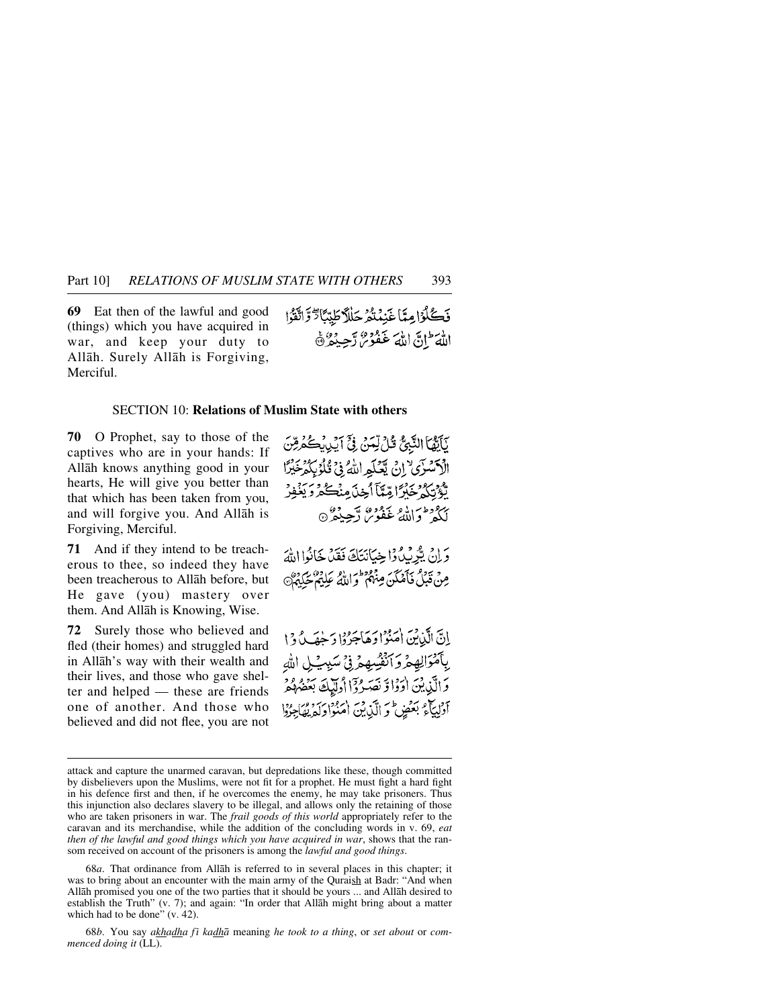**69** Eat then of the lawful and good (things) which you have acquired in war, and keep your duty to Allåh. Surely Allåh is Forgiving, Merciful.

فَكُلُوْا مِيَّا غَنِيْتُمْ جَلْلاً طَيِّئَاتٌ وَاتَّقَوْا اللَّهَ ۖ إِنَّ اللَّهَ غَفُوْرٌ، رَّحِيْدٌ ۞

ْ يَأْتَيْهَا النَّبِيُّ قُلْ لِّمَنْ فِيِّ آيْدِيْكُمْرِمِّنَ

#### SECTION 10: **Relations of Muslim State with others**

**70** O Prophet, say to those of the captives who are in your hands: If Allåh knows anything good in your hearts, He will give you better than that which has been taken from you, and will forgive you. And Allåh is Forgiving, Merciful.

**71** And if they intend to be treacherous to thee, so indeed they have been treacherous to Allåh before, but He gave (you) mastery over them. And Allåh is Knowing, Wise.

**72** Surely those who believed and fled (their homes) and struggled hard in Allåh's way with their wealth and their lives, and those who gave shelter and helped — these are friends one of another. And those who believed and did not flee, you are not الْأَسْرَى ۚ إِنْ يَعْلَمِ اللَّهُ فِي تُلْوُبِكُمْ خَيْرًا تْؤْتِكُهُ خَبْرًا مِّيَّآ أَخِذَ مِنْكُهُ دَيَنَفِرُ ري وطن الله عَفُوسٌ رَّحِيْدٌ ۞ وَإِنْ بِبُرْبِيْ وَإِخِيَانَتَكَ فَقَدْ خَانُوا اللَّهَ مِنْ قَبْلُ فَأَصْلَنَ مِنْهُمْ كَوَاللَّهُ عَلِيْهِمْ حَكِيْرٌ إِنَّ الَّذِينَ اٰمَنُوْا وَهَاجَرُوْا دَجْهَـٰبٌ وَا بِٱمْوَالِهِمْ وَٱنْفُسِهِمْ فِيُّ سَيِينِيلِ اللهِ وَالَّذِينَ اٰوَدَا وَ تَصَرُوْٓاْ اُولَيْكَ بَعْضُهُمْ آؤلياء بعض وَ الَّذِينَ اٰ مَدُّوْا دَلَّهُ لِمَا مِرُوْا

68*a*. That ordinance from Allåh is referred to in several places in this chapter; it was to bring about an encounter with the main army of the Quraish at Badr: "And when Allåh promised you one of the two parties that it should be yours ... and Allåh desired to establish the Truth" (v. 7); and again: "In order that Allåh might bring about a matter which had to be done" (v. 42).

68*b*. You say *akhadha fß kadhå* meaning *he took to a thing*, or *set about* or *commenced doing it* (LL).

attack and capture the unarmed caravan, but depredations like these, though committed by disbelievers upon the Muslims, were not fit for a prophet. He must fight a hard fight in his defence first and then, if he overcomes the enemy, he may take prisoners. Thus this injunction also declares slavery to be illegal, and allows only the retaining of those who are taken prisoners in war. The *frail goods of this world* appropriately refer to the caravan and its merchandise, while the addition of the concluding words in v. 69, *eat then of the lawful and good things which you have acquired in war*, shows that the ransom received on account of the prisoners is among the *lawful and good things*.